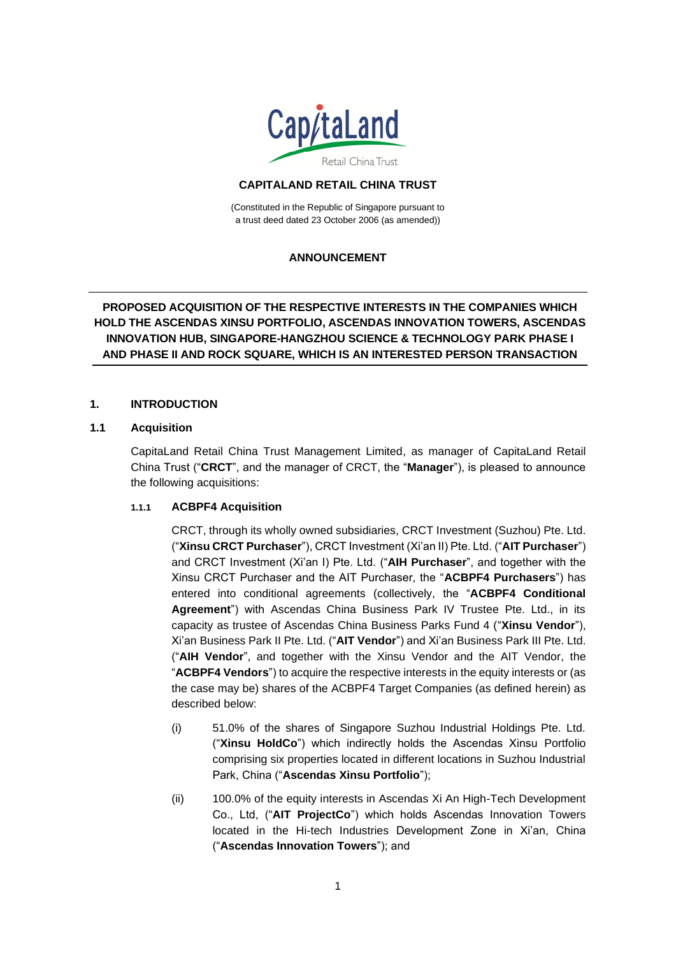

# **CAPITALAND RETAIL CHINA TRUST**

(Constituted in the Republic of Singapore pursuant to a trust deed dated 23 October 2006 (as amended))

# **ANNOUNCEMENT**

# **PROPOSED ACQUISITION OF THE RESPECTIVE INTERESTS IN THE COMPANIES WHICH HOLD THE ASCENDAS XINSU PORTFOLIO, ASCENDAS INNOVATION TOWERS, ASCENDAS INNOVATION HUB, SINGAPORE-HANGZHOU SCIENCE & TECHNOLOGY PARK PHASE I AND PHASE II AND ROCK SQUARE, WHICH IS AN INTERESTED PERSON TRANSACTION**

## **1. INTRODUCTION**

#### **1.1 Acquisition**

CapitaLand Retail China Trust Management Limited, as manager of CapitaLand Retail China Trust ("**CRCT**", and the manager of CRCT, the "**Manager**"), is pleased to announce the following acquisitions:

## **1.1.1 ACBPF4 Acquisition**

CRCT, through its wholly owned subsidiaries, CRCT Investment (Suzhou) Pte. Ltd. ("**Xinsu CRCT Purchaser**"), CRCT Investment (Xi'an II) Pte. Ltd. ("**AIT Purchaser**") and CRCT Investment (Xi'an I) Pte. Ltd. ("**AIH Purchaser**", and together with the Xinsu CRCT Purchaser and the AIT Purchaser, the "**ACBPF4 Purchasers**") has entered into conditional agreements (collectively, the "**ACBPF4 Conditional Agreement**") with Ascendas China Business Park IV Trustee Pte. Ltd., in its capacity as trustee of Ascendas China Business Parks Fund 4 ("**Xinsu Vendor**"), Xi'an Business Park II Pte. Ltd. ("**AIT Vendor**") and Xi'an Business Park III Pte. Ltd. ("**AIH Vendor**", and together with the Xinsu Vendor and the AIT Vendor, the "**ACBPF4 Vendors**") to acquire the respective interests in the equity interests or (as the case may be) shares of the ACBPF4 Target Companies (as defined herein) as described below:

- (i) 51.0% of the shares of Singapore Suzhou Industrial Holdings Pte. Ltd. ("**Xinsu HoldCo**") which indirectly holds the Ascendas Xinsu Portfolio comprising six properties located in different locations in Suzhou Industrial Park, China ("**Ascendas Xinsu Portfolio**");
- (ii) 100.0% of the equity interests in Ascendas Xi An High-Tech Development Co., Ltd, ("**AIT ProjectCo**") which holds Ascendas Innovation Towers located in the Hi-tech Industries Development Zone in Xi'an, China ("**Ascendas Innovation Towers**"); and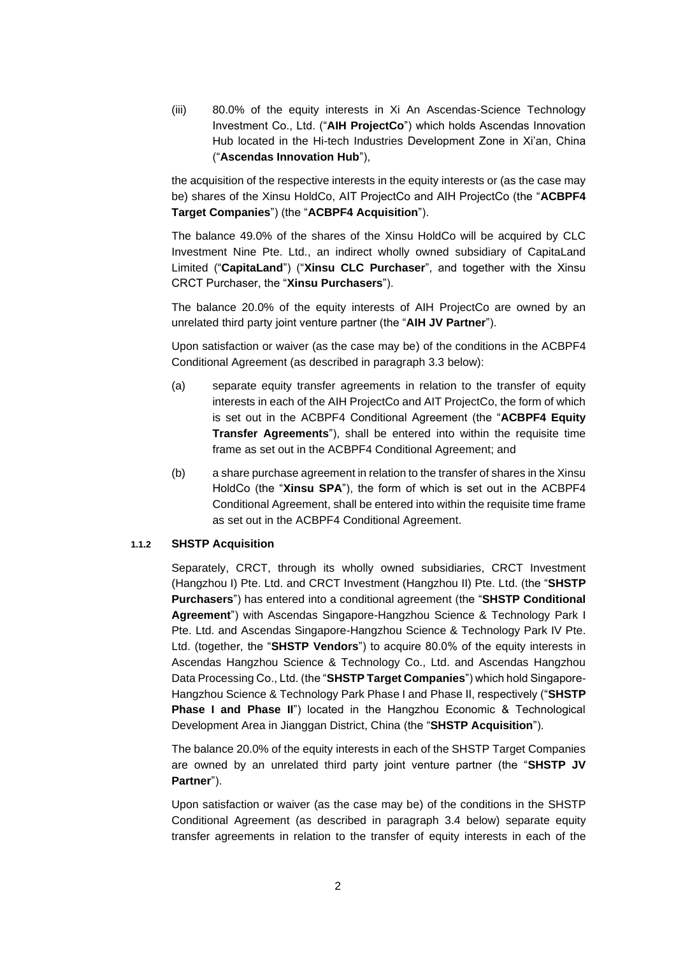(iii) 80.0% of the equity interests in Xi An Ascendas-Science Technology Investment Co., Ltd. ("**AIH ProjectCo**") which holds Ascendas Innovation Hub located in the Hi-tech Industries Development Zone in Xi'an, China ("**Ascendas Innovation Hub**"),

the acquisition of the respective interests in the equity interests or (as the case may be) shares of the Xinsu HoldCo, AIT ProjectCo and AIH ProjectCo (the "**ACBPF4 Target Companies**") (the "**ACBPF4 Acquisition**").

The balance 49.0% of the shares of the Xinsu HoldCo will be acquired by CLC Investment Nine Pte. Ltd., an indirect wholly owned subsidiary of CapitaLand Limited ("**CapitaLand**") ("**Xinsu CLC Purchaser**", and together with the Xinsu CRCT Purchaser, the "**Xinsu Purchasers**").

The balance 20.0% of the equity interests of AIH ProjectCo are owned by an unrelated third party joint venture partner (the "**AIH JV Partner**").

Upon satisfaction or waiver (as the case may be) of the conditions in the ACBPF4 Conditional Agreement (as described in paragraph 3.3 below):

- (a) separate equity transfer agreements in relation to the transfer of equity interests in each of the AIH ProjectCo and AIT ProjectCo, the form of which is set out in the ACBPF4 Conditional Agreement (the "**ACBPF4 Equity Transfer Agreements**"), shall be entered into within the requisite time frame as set out in the ACBPF4 Conditional Agreement; and
- (b) a share purchase agreement in relation to the transfer of shares in the Xinsu HoldCo (the "**Xinsu SPA**"), the form of which is set out in the ACBPF4 Conditional Agreement, shall be entered into within the requisite time frame as set out in the ACBPF4 Conditional Agreement.

## **1.1.2 SHSTP Acquisition**

Separately, CRCT, through its wholly owned subsidiaries, CRCT Investment (Hangzhou I) Pte. Ltd. and CRCT Investment (Hangzhou II) Pte. Ltd. (the "**SHSTP Purchasers**") has entered into a conditional agreement (the "**SHSTP Conditional Agreement**") with Ascendas Singapore-Hangzhou Science & Technology Park I Pte. Ltd. and Ascendas Singapore-Hangzhou Science & Technology Park IV Pte. Ltd. (together, the "**SHSTP Vendors**") to acquire 80.0% of the equity interests in Ascendas Hangzhou Science & Technology Co., Ltd. and Ascendas Hangzhou Data Processing Co., Ltd. (the "**SHSTP Target Companies**") which hold Singapore-Hangzhou Science & Technology Park Phase I and Phase II, respectively ("**SHSTP Phase I and Phase II**") located in the Hangzhou Economic & Technological Development Area in Jianggan District, China (the "**SHSTP Acquisition**").

The balance 20.0% of the equity interests in each of the SHSTP Target Companies are owned by an unrelated third party joint venture partner (the "**SHSTP JV Partner**").

Upon satisfaction or waiver (as the case may be) of the conditions in the SHSTP Conditional Agreement (as described in paragraph 3.4 below) separate equity transfer agreements in relation to the transfer of equity interests in each of the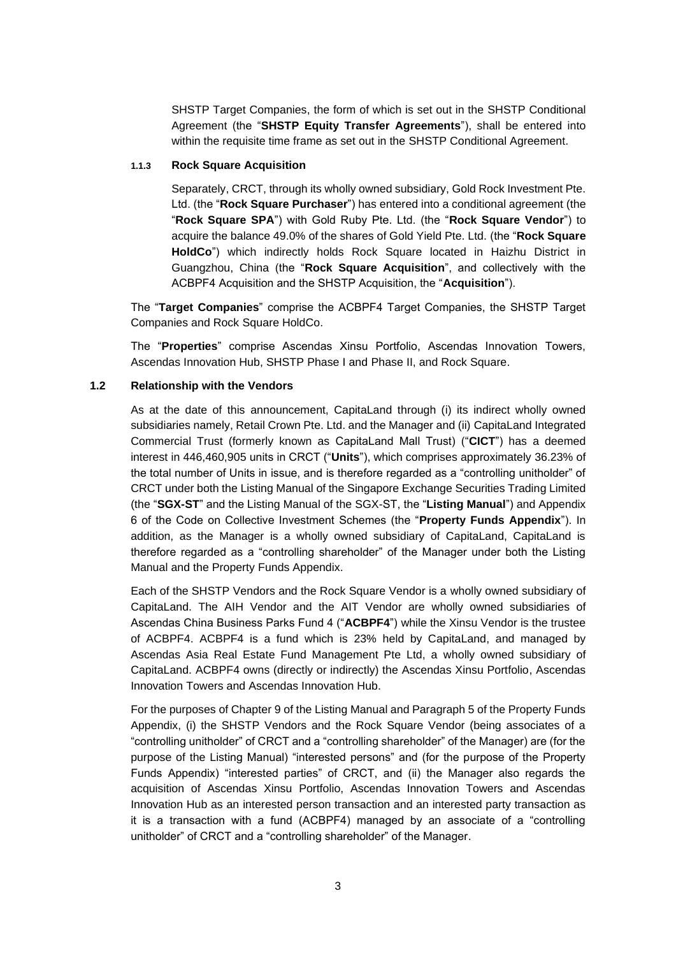SHSTP Target Companies, the form of which is set out in the SHSTP Conditional Agreement (the "**SHSTP Equity Transfer Agreements**"), shall be entered into within the requisite time frame as set out in the SHSTP Conditional Agreement.

#### **1.1.3 Rock Square Acquisition**

Separately, CRCT, through its wholly owned subsidiary, Gold Rock Investment Pte. Ltd. (the "**Rock Square Purchaser**") has entered into a conditional agreement (the "**Rock Square SPA**") with Gold Ruby Pte. Ltd. (the "**Rock Square Vendor**") to acquire the balance 49.0% of the shares of Gold Yield Pte. Ltd. (the "**Rock Square HoldCo**") which indirectly holds Rock Square located in Haizhu District in Guangzhou, China (the "**Rock Square Acquisition**", and collectively with the ACBPF4 Acquisition and the SHSTP Acquisition, the "**Acquisition**").

The "**Target Companies**" comprise the ACBPF4 Target Companies, the SHSTP Target Companies and Rock Square HoldCo.

The "**Properties**" comprise Ascendas Xinsu Portfolio, Ascendas Innovation Towers, Ascendas Innovation Hub, SHSTP Phase I and Phase II, and Rock Square.

#### **1.2 Relationship with the Vendors**

As at the date of this announcement, CapitaLand through (i) its indirect wholly owned subsidiaries namely, Retail Crown Pte. Ltd. and the Manager and (ii) CapitaLand Integrated Commercial Trust (formerly known as CapitaLand Mall Trust) ("**CICT**") has a deemed interest in 446,460,905 units in CRCT ("**Units**"), which comprises approximately 36.23% of the total number of Units in issue, and is therefore regarded as a "controlling unitholder" of CRCT under both the Listing Manual of the Singapore Exchange Securities Trading Limited (the "**SGX-ST**" and the Listing Manual of the SGX-ST, the "**Listing Manual**") and Appendix 6 of the Code on Collective Investment Schemes (the "**Property Funds Appendix**"). In addition, as the Manager is a wholly owned subsidiary of CapitaLand, CapitaLand is therefore regarded as a "controlling shareholder" of the Manager under both the Listing Manual and the Property Funds Appendix.

Each of the SHSTP Vendors and the Rock Square Vendor is a wholly owned subsidiary of CapitaLand. The AIH Vendor and the AIT Vendor are wholly owned subsidiaries of Ascendas China Business Parks Fund 4 ("**ACBPF4**") while the Xinsu Vendor is the trustee of ACBPF4. ACBPF4 is a fund which is 23% held by CapitaLand, and managed by Ascendas Asia Real Estate Fund Management Pte Ltd, a wholly owned subsidiary of CapitaLand. ACBPF4 owns (directly or indirectly) the Ascendas Xinsu Portfolio, Ascendas Innovation Towers and Ascendas Innovation Hub.

For the purposes of Chapter 9 of the Listing Manual and Paragraph 5 of the Property Funds Appendix, (i) the SHSTP Vendors and the Rock Square Vendor (being associates of a "controlling unitholder" of CRCT and a "controlling shareholder" of the Manager) are (for the purpose of the Listing Manual) "interested persons" and (for the purpose of the Property Funds Appendix) "interested parties" of CRCT, and (ii) the Manager also regards the acquisition of Ascendas Xinsu Portfolio, Ascendas Innovation Towers and Ascendas Innovation Hub as an interested person transaction and an interested party transaction as it is a transaction with a fund (ACBPF4) managed by an associate of a "controlling unitholder" of CRCT and a "controlling shareholder" of the Manager.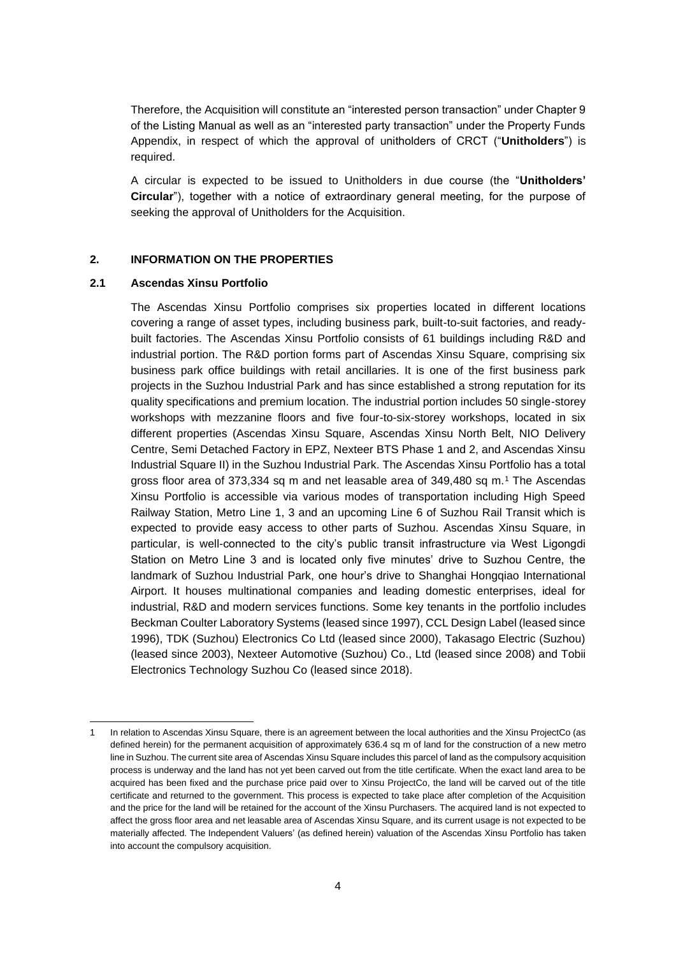Therefore, the Acquisition will constitute an "interested person transaction" under Chapter 9 of the Listing Manual as well as an "interested party transaction" under the Property Funds Appendix, in respect of which the approval of unitholders of CRCT ("**Unitholders**") is required.

A circular is expected to be issued to Unitholders in due course (the "**Unitholders' Circular**"), together with a notice of extraordinary general meeting, for the purpose of seeking the approval of Unitholders for the Acquisition.

## **2. INFORMATION ON THE PROPERTIES**

#### **2.1 Ascendas Xinsu Portfolio**

The Ascendas Xinsu Portfolio comprises six properties located in different locations covering a range of asset types, including business park, built-to-suit factories, and readybuilt factories. The Ascendas Xinsu Portfolio consists of 61 buildings including R&D and industrial portion. The R&D portion forms part of Ascendas Xinsu Square, comprising six business park office buildings with retail ancillaries. It is one of the first business park projects in the Suzhou Industrial Park and has since established a strong reputation for its quality specifications and premium location. The industrial portion includes 50 single-storey workshops with mezzanine floors and five four-to-six-storey workshops, located in six different properties (Ascendas Xinsu Square, Ascendas Xinsu North Belt, NIO Delivery Centre, Semi Detached Factory in EPZ, Nexteer BTS Phase 1 and 2, and Ascendas Xinsu Industrial Square II) in the Suzhou Industrial Park. The Ascendas Xinsu Portfolio has a total gross floor area of 373,334 sq m and net leasable area of 349,480 sq m.<sup>1</sup> The Ascendas Xinsu Portfolio is accessible via various modes of transportation including High Speed Railway Station, Metro Line 1, 3 and an upcoming Line 6 of Suzhou Rail Transit which is expected to provide easy access to other parts of Suzhou. Ascendas Xinsu Square, in particular, is well-connected to the city's public transit infrastructure via West Ligongdi Station on Metro Line 3 and is located only five minutes' drive to Suzhou Centre, the landmark of Suzhou Industrial Park, one hour's drive to Shanghai Hongqiao International Airport. It houses multinational companies and leading domestic enterprises, ideal for industrial, R&D and modern services functions. Some key tenants in the portfolio includes Beckman Coulter Laboratory Systems (leased since 1997), CCL Design Label (leased since 1996), TDK (Suzhou) Electronics Co Ltd (leased since 2000), Takasago Electric (Suzhou) (leased since 2003), Nexteer Automotive (Suzhou) Co., Ltd (leased since 2008) and Tobii Electronics Technology Suzhou Co (leased since 2018).

<sup>1</sup> In relation to Ascendas Xinsu Square, there is an agreement between the local authorities and the Xinsu ProjectCo (as defined herein) for the permanent acquisition of approximately 636.4 sq m of land for the construction of a new metro line in Suzhou. The current site area of Ascendas Xinsu Square includes this parcel of land as the compulsory acquisition process is underway and the land has not yet been carved out from the title certificate. When the exact land area to be acquired has been fixed and the purchase price paid over to Xinsu ProjectCo, the land will be carved out of the title certificate and returned to the government. This process is expected to take place after completion of the Acquisition and the price for the land will be retained for the account of the Xinsu Purchasers. The acquired land is not expected to affect the gross floor area and net leasable area of Ascendas Xinsu Square, and its current usage is not expected to be materially affected. The Independent Valuers' (as defined herein) valuation of the Ascendas Xinsu Portfolio has taken into account the compulsory acquisition.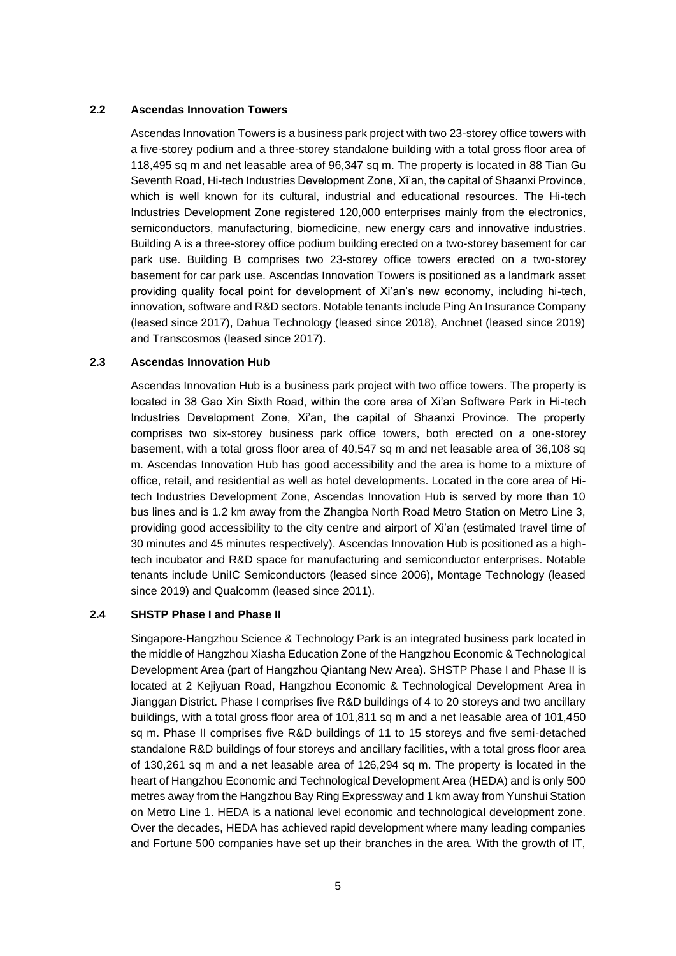#### **2.2 Ascendas Innovation Towers**

Ascendas Innovation Towers is a business park project with two 23-storey office towers with a five-storey podium and a three-storey standalone building with a total gross floor area of 118,495 sq m and net leasable area of 96,347 sq m. The property is located in 88 Tian Gu Seventh Road, Hi-tech Industries Development Zone, Xi'an, the capital of Shaanxi Province, which is well known for its cultural, industrial and educational resources. The Hi-tech Industries Development Zone registered 120,000 enterprises mainly from the electronics, semiconductors, manufacturing, biomedicine, new energy cars and innovative industries. Building A is a three-storey office podium building erected on a two-storey basement for car park use. Building B comprises two 23-storey office towers erected on a two-storey basement for car park use. Ascendas Innovation Towers is positioned as a landmark asset providing quality focal point for development of Xi'an's new economy, including hi-tech, innovation, software and R&D sectors. Notable tenants include Ping An Insurance Company (leased since 2017), Dahua Technology (leased since 2018), Anchnet (leased since 2019) and Transcosmos (leased since 2017).

#### **2.3 Ascendas Innovation Hub**

Ascendas Innovation Hub is a business park project with two office towers. The property is located in 38 Gao Xin Sixth Road, within the core area of Xi'an Software Park in Hi-tech Industries Development Zone, Xi'an, the capital of Shaanxi Province. The property comprises two six-storey business park office towers, both erected on a one-storey basement, with a total gross floor area of 40,547 sq m and net leasable area of 36,108 sq m. Ascendas Innovation Hub has good accessibility and the area is home to a mixture of office, retail, and residential as well as hotel developments. Located in the core area of Hitech Industries Development Zone, Ascendas Innovation Hub is served by more than 10 bus lines and is 1.2 km away from the Zhangba North Road Metro Station on Metro Line 3, providing good accessibility to the city centre and airport of Xi'an (estimated travel time of 30 minutes and 45 minutes respectively). Ascendas Innovation Hub is positioned as a hightech incubator and R&D space for manufacturing and semiconductor enterprises. Notable tenants include UniIC Semiconductors (leased since 2006), Montage Technology (leased since 2019) and Qualcomm (leased since 2011).

#### **2.4 SHSTP Phase I and Phase II**

Singapore-Hangzhou Science & Technology Park is an integrated business park located in the middle of Hangzhou Xiasha Education Zone of the Hangzhou Economic & Technological Development Area (part of Hangzhou Qiantang New Area). SHSTP Phase I and Phase II is located at 2 Kejiyuan Road, Hangzhou Economic & Technological Development Area in Jianggan District. Phase I comprises five R&D buildings of 4 to 20 storeys and two ancillary buildings, with a total gross floor area of 101,811 sq m and a net leasable area of 101,450 sq m. Phase II comprises five R&D buildings of 11 to 15 storeys and five semi-detached standalone R&D buildings of four storeys and ancillary facilities, with a total gross floor area of 130,261 sq m and a net leasable area of 126,294 sq m. The property is located in the heart of Hangzhou Economic and Technological Development Area (HEDA) and is only 500 metres away from the Hangzhou Bay Ring Expressway and 1 km away from Yunshui Station on Metro Line 1. HEDA is a national level economic and technological development zone. Over the decades, HEDA has achieved rapid development where many leading companies and Fortune 500 companies have set up their branches in the area. With the growth of IT,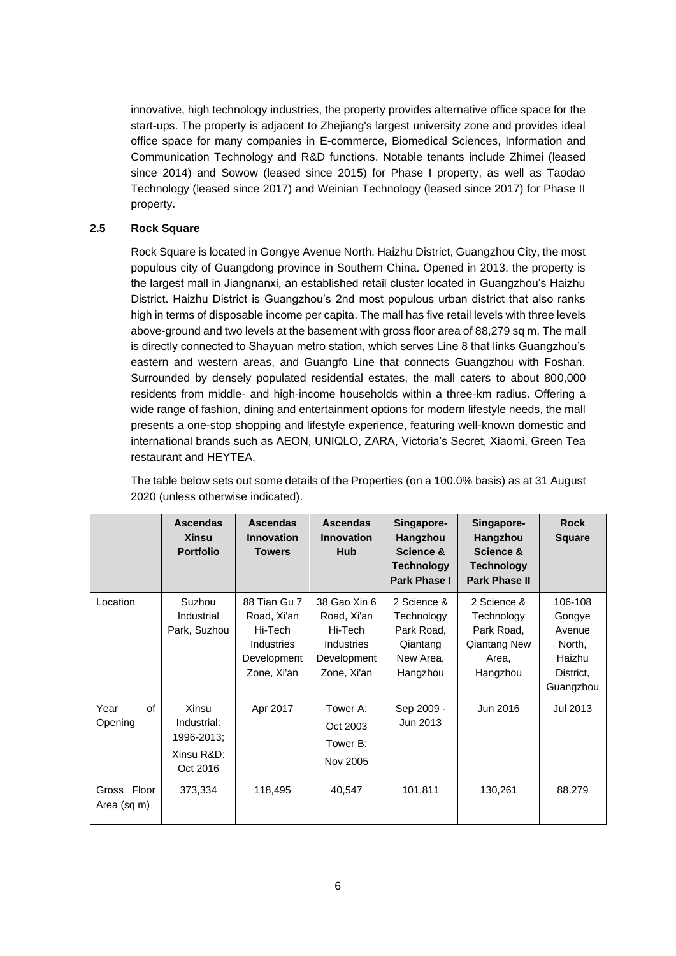innovative, high technology industries, the property provides alternative office space for the start-ups. The property is adjacent to Zhejiang's largest university zone and provides ideal office space for many companies in E-commerce, Biomedical Sciences, Information and Communication Technology and R&D functions. Notable tenants include Zhimei (leased since 2014) and Sowow (leased since 2015) for Phase I property, as well as Taodao Technology (leased since 2017) and Weinian Technology (leased since 2017) for Phase II property.

## **2.5 Rock Square**

Rock Square is located in Gongye Avenue North, Haizhu District, Guangzhou City, the most populous city of Guangdong province in Southern China. Opened in 2013, the property is the largest mall in Jiangnanxi, an established retail cluster located in Guangzhou's Haizhu District. Haizhu District is Guangzhou's 2nd most populous urban district that also ranks high in terms of disposable income per capita. The mall has five retail levels with three levels above-ground and two levels at the basement with gross floor area of 88,279 sq m. The mall is directly connected to Shayuan metro station, which serves Line 8 that links Guangzhou's eastern and western areas, and Guangfo Line that connects Guangzhou with Foshan. Surrounded by densely populated residential estates, the mall caters to about 800,000 residents from middle- and high-income households within a three-km radius. Offering a wide range of fashion, dining and entertainment options for modern lifestyle needs, the mall presents a one-stop shopping and lifestyle experience, featuring well-known domestic and international brands such as AEON, UNIQLO, ZARA, Victoria's Secret, Xiaomi, Green Tea restaurant and HEYTEA.

The table below sets out some details of the Properties (on a 100.0% basis) as at 31 August 2020 (unless otherwise indicated).

|                                      | <b>Ascendas</b><br><b>Xinsu</b><br><b>Portfolio</b>                     | <b>Ascendas</b><br><b>Innovation</b><br><b>Towers</b>                                     | <b>Ascendas</b><br><b>Innovation</b><br>Hub                                        | Singapore-<br>Hangzhou<br>Science &<br><b>Technology</b><br>Park Phase I     | Singapore-<br>Hangzhou<br>Science &<br><b>Technology</b><br><b>Park Phase II</b>    | <b>Rock</b><br><b>Square</b>                                              |
|--------------------------------------|-------------------------------------------------------------------------|-------------------------------------------------------------------------------------------|------------------------------------------------------------------------------------|------------------------------------------------------------------------------|-------------------------------------------------------------------------------------|---------------------------------------------------------------------------|
| Location                             | Suzhou<br>Industrial<br>Park, Suzhou                                    | 88 Tian Gu 7<br>Road, Xi'an<br>Hi-Tech<br><b>Industries</b><br>Development<br>Zone, Xi'an | 38 Gao Xin 6<br>Road, Xi'an<br>Hi-Tech<br>Industries<br>Development<br>Zone, Xi'an | 2 Science &<br>Technology<br>Park Road,<br>Qiantang<br>New Area,<br>Hangzhou | 2 Science &<br>Technology<br>Park Road,<br><b>Qiantang New</b><br>Area,<br>Hangzhou | 106-108<br>Gongye<br>Avenue<br>North,<br>Haizhu<br>District.<br>Guangzhou |
| Year<br>of<br>Opening<br>Gross Floor | Xinsu<br>Industrial:<br>1996-2013;<br>Xinsu R&D:<br>Oct 2016<br>373,334 | Apr 2017<br>118,495                                                                       | Tower A:<br>Oct 2003<br>Tower B:<br>Nov 2005<br>40,547                             | Sep 2009 -<br>Jun 2013<br>101,811                                            | Jun 2016<br>130,261                                                                 | Jul 2013<br>88,279                                                        |
| Area (sq m)                          |                                                                         |                                                                                           |                                                                                    |                                                                              |                                                                                     |                                                                           |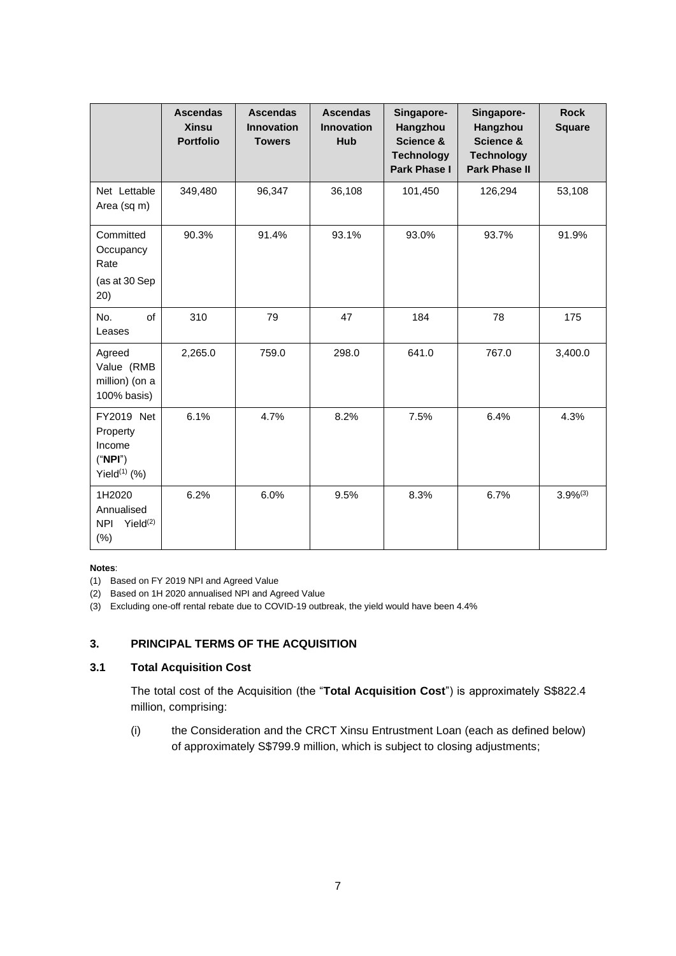|                                                                      | <b>Ascendas</b><br><b>Xinsu</b><br><b>Portfolio</b> | <b>Ascendas</b><br><b>Innovation</b><br><b>Towers</b> | <b>Ascendas</b><br><b>Innovation</b><br><b>Hub</b> | Singapore-<br>Hangzhou<br>Science &<br><b>Technology</b><br><b>Park Phase I</b> | Singapore-<br>Hangzhou<br>Science &<br><b>Technology</b><br><b>Park Phase II</b> | <b>Rock</b><br><b>Square</b> |
|----------------------------------------------------------------------|-----------------------------------------------------|-------------------------------------------------------|----------------------------------------------------|---------------------------------------------------------------------------------|----------------------------------------------------------------------------------|------------------------------|
| Net Lettable<br>Area (sq m)                                          | 349,480                                             | 96,347                                                | 36,108                                             | 101,450                                                                         | 126,294                                                                          | 53,108                       |
| Committed<br>Occupancy<br>Rate<br>(as at 30 Sep<br>(20)              | 90.3%                                               | 91.4%                                                 | 93.1%                                              | 93.0%                                                                           | 93.7%                                                                            | 91.9%                        |
| of<br>No.<br>Leases                                                  | 310                                                 | 79                                                    | 47                                                 | 184                                                                             | 78                                                                               | 175                          |
| Agreed<br>Value (RMB<br>million) (on a<br>100% basis)                | 2,265.0                                             | 759.0                                                 | 298.0                                              | 641.0                                                                           | 767.0                                                                            | 3,400.0                      |
| FY2019 Net<br>Property<br>Income<br>("NPI")<br>Yield $(1)$ (%)       | 6.1%                                                | 4.7%                                                  | 8.2%                                               | 7.5%                                                                            | 6.4%                                                                             | 4.3%                         |
| 1H2020<br>Annualised<br>Yield <sup>(2)</sup><br><b>NPI</b><br>$(\%)$ | 6.2%                                                | 6.0%                                                  | 9.5%                                               | 8.3%                                                                            | 6.7%                                                                             | $3.9\%^{(3)}$                |

## **Notes**:

(1) Based on FY 2019 NPI and Agreed Value

(2) Based on 1H 2020 annualised NPI and Agreed Value

(3) Excluding one-off rental rebate due to COVID-19 outbreak, the yield would have been 4.4%

# **3. PRINCIPAL TERMS OF THE ACQUISITION**

# **3.1 Total Acquisition Cost**

The total cost of the Acquisition (the "**Total Acquisition Cost**") is approximately S\$822.4 million, comprising:

(i) the Consideration and the CRCT Xinsu Entrustment Loan (each as defined below) of approximately S\$799.9 million, which is subject to closing adjustments;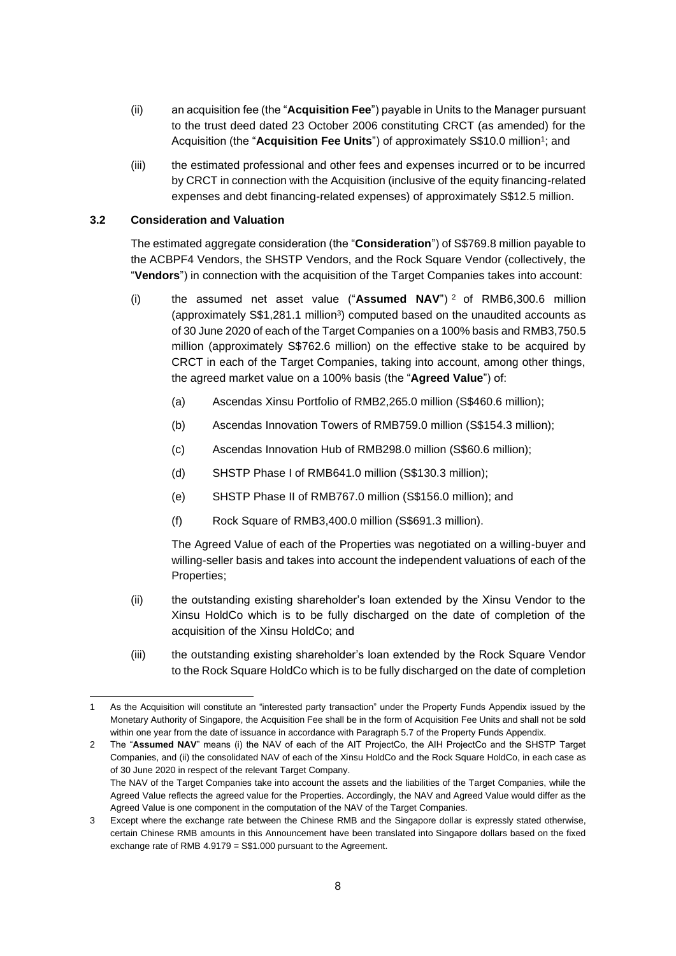- (ii) an acquisition fee (the "**Acquisition Fee**") payable in Units to the Manager pursuant to the trust deed dated 23 October 2006 constituting CRCT (as amended) for the Acquisition (the "Acquisition Fee Units") of approximately S\$10.0 million<sup>1</sup>; and
- (iii) the estimated professional and other fees and expenses incurred or to be incurred by CRCT in connection with the Acquisition (inclusive of the equity financing-related expenses and debt financing-related expenses) of approximately S\$12.5 million.

## **3.2 Consideration and Valuation**

The estimated aggregate consideration (the "**Consideration**") of S\$769.8 million payable to the ACBPF4 Vendors, the SHSTP Vendors, and the Rock Square Vendor (collectively, the "**Vendors**") in connection with the acquisition of the Target Companies takes into account:

- (i) the assumed net asset value ("**Assumed NAV**") <sup>2</sup> of RMB6,300.6 million (approximately  $\$1,281.1$  million<sup>3</sup>) computed based on the unaudited accounts as of 30 June 2020 of each of the Target Companies on a 100% basis and RMB3,750.5 million (approximately S\$762.6 million) on the effective stake to be acquired by CRCT in each of the Target Companies, taking into account, among other things, the agreed market value on a 100% basis (the "**Agreed Value**") of:
	- (a) Ascendas Xinsu Portfolio of RMB2,265.0 million (S\$460.6 million);
	- (b) Ascendas Innovation Towers of RMB759.0 million (S\$154.3 million);
	- (c) Ascendas Innovation Hub of RMB298.0 million (S\$60.6 million);
	- (d) SHSTP Phase I of RMB641.0 million (S\$130.3 million);
	- (e) SHSTP Phase II of RMB767.0 million (S\$156.0 million); and
	- (f) Rock Square of RMB3,400.0 million (S\$691.3 million).

The Agreed Value of each of the Properties was negotiated on a willing-buyer and willing-seller basis and takes into account the independent valuations of each of the Properties;

- (ii) the outstanding existing shareholder's loan extended by the Xinsu Vendor to the Xinsu HoldCo which is to be fully discharged on the date of completion of the acquisition of the Xinsu HoldCo; and
- (iii) the outstanding existing shareholder's loan extended by the Rock Square Vendor to the Rock Square HoldCo which is to be fully discharged on the date of completion

As the Acquisition will constitute an "interested party transaction" under the Property Funds Appendix issued by the Monetary Authority of Singapore, the Acquisition Fee shall be in the form of Acquisition Fee Units and shall not be sold within one year from the date of issuance in accordance with Paragraph 5.7 of the Property Funds Appendix.

<sup>2</sup> The "**Assumed NAV**" means (i) the NAV of each of the AIT ProjectCo, the AIH ProjectCo and the SHSTP Target Companies, and (ii) the consolidated NAV of each of the Xinsu HoldCo and the Rock Square HoldCo, in each case as of 30 June 2020 in respect of the relevant Target Company. The NAV of the Target Companies take into account the assets and the liabilities of the Target Companies, while the Agreed Value reflects the agreed value for the Properties. Accordingly, the NAV and Agreed Value would differ as the

Agreed Value is one component in the computation of the NAV of the Target Companies.

<sup>3</sup> Except where the exchange rate between the Chinese RMB and the Singapore dollar is expressly stated otherwise, certain Chinese RMB amounts in this Announcement have been translated into Singapore dollars based on the fixed exchange rate of RMB 4.9179 = S\$1.000 pursuant to the Agreement.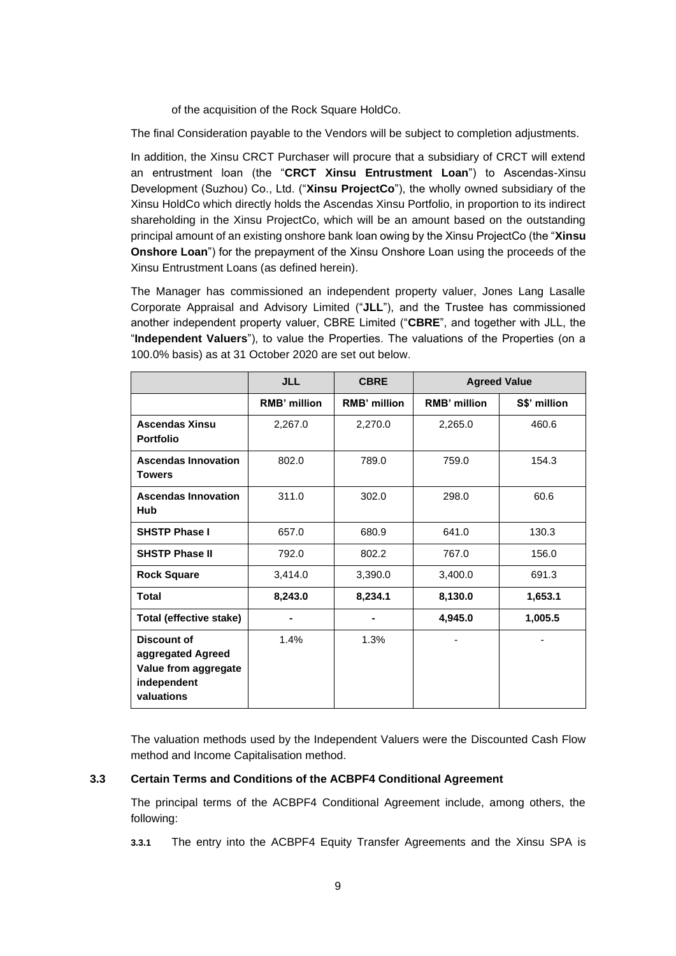of the acquisition of the Rock Square HoldCo.

The final Consideration payable to the Vendors will be subject to completion adjustments.

In addition, the Xinsu CRCT Purchaser will procure that a subsidiary of CRCT will extend an entrustment loan (the "**CRCT Xinsu Entrustment Loan**") to Ascendas-Xinsu Development (Suzhou) Co., Ltd. ("**Xinsu ProjectCo**"), the wholly owned subsidiary of the Xinsu HoldCo which directly holds the Ascendas Xinsu Portfolio, in proportion to its indirect shareholding in the Xinsu ProjectCo, which will be an amount based on the outstanding principal amount of an existing onshore bank loan owing by the Xinsu ProjectCo (the "**Xinsu Onshore Loan**") for the prepayment of the Xinsu Onshore Loan using the proceeds of the Xinsu Entrustment Loans (as defined herein).

The Manager has commissioned an independent property valuer, Jones Lang Lasalle Corporate Appraisal and Advisory Limited ("**JLL**"), and the Trustee has commissioned another independent property valuer, CBRE Limited ("**CBRE**", and together with JLL, the "**Independent Valuers**"), to value the Properties. The valuations of the Properties (on a 100.0% basis) as at 31 October 2020 are set out below.

|                                                                                       | <b>JLL</b>          | <b>CBRE</b>  | <b>Agreed Value</b> |              |
|---------------------------------------------------------------------------------------|---------------------|--------------|---------------------|--------------|
|                                                                                       | <b>RMB' million</b> | RMB' million | <b>RMB' million</b> | S\$' million |
| <b>Ascendas Xinsu</b><br><b>Portfolio</b>                                             | 2,267.0             | 2,270.0      | 2,265.0             | 460.6        |
| <b>Ascendas Innovation</b><br><b>Towers</b>                                           | 802.0               | 789.0        | 759.0               | 154.3        |
| <b>Ascendas Innovation</b><br><b>Hub</b>                                              | 311.0               | 302.0        | 298.0               | 60.6         |
| <b>SHSTP Phase I</b>                                                                  | 657.0               | 680.9        | 641.0               | 130.3        |
| <b>SHSTP Phase II</b>                                                                 | 792.0               | 802.2        | 767.0               | 156.0        |
| <b>Rock Square</b>                                                                    | 3,414.0             | 3,390.0      | 3,400.0             | 691.3        |
| <b>Total</b>                                                                          | 8,243.0             | 8,234.1      | 8,130.0             | 1,653.1      |
| <b>Total (effective stake)</b>                                                        |                     |              | 4,945.0             | 1,005.5      |
| Discount of<br>aggregated Agreed<br>Value from aggregate<br>independent<br>valuations | 1.4%                | 1.3%         |                     |              |

The valuation methods used by the Independent Valuers were the Discounted Cash Flow method and Income Capitalisation method.

#### **3.3 Certain Terms and Conditions of the ACBPF4 Conditional Agreement**

The principal terms of the ACBPF4 Conditional Agreement include, among others, the following:

**3.3.1** The entry into the ACBPF4 Equity Transfer Agreements and the Xinsu SPA is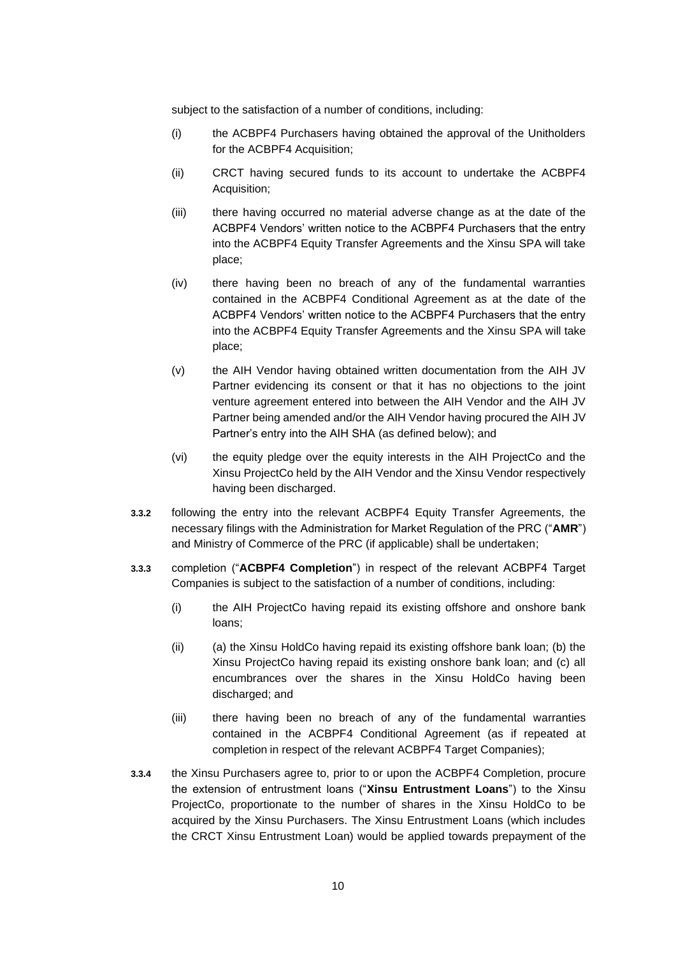subject to the satisfaction of a number of conditions, including:

- (i) the ACBPF4 Purchasers having obtained the approval of the Unitholders for the ACBPF4 Acquisition;
- (ii) CRCT having secured funds to its account to undertake the ACBPF4 Acquisition;
- (iii) there having occurred no material adverse change as at the date of the ACBPF4 Vendors' written notice to the ACBPF4 Purchasers that the entry into the ACBPF4 Equity Transfer Agreements and the Xinsu SPA will take place;
- (iv) there having been no breach of any of the fundamental warranties contained in the ACBPF4 Conditional Agreement as at the date of the ACBPF4 Vendors' written notice to the ACBPF4 Purchasers that the entry into the ACBPF4 Equity Transfer Agreements and the Xinsu SPA will take place;
- (v) the AIH Vendor having obtained written documentation from the AIH JV Partner evidencing its consent or that it has no objections to the joint venture agreement entered into between the AIH Vendor and the AIH JV Partner being amended and/or the AIH Vendor having procured the AIH JV Partner's entry into the AIH SHA (as defined below); and
- (vi) the equity pledge over the equity interests in the AIH ProjectCo and the Xinsu ProjectCo held by the AIH Vendor and the Xinsu Vendor respectively having been discharged.
- **3.3.2** following the entry into the relevant ACBPF4 Equity Transfer Agreements, the necessary filings with the Administration for Market Regulation of the PRC ("**AMR**") and Ministry of Commerce of the PRC (if applicable) shall be undertaken;
- **3.3.3** completion ("**ACBPF4 Completion**") in respect of the relevant ACBPF4 Target Companies is subject to the satisfaction of a number of conditions, including:
	- (i) the AIH ProjectCo having repaid its existing offshore and onshore bank loans;
	- $(iii)$  (a) the Xinsu HoldCo having repaid its existing offshore bank loan; (b) the Xinsu ProjectCo having repaid its existing onshore bank loan; and (c) all encumbrances over the shares in the Xinsu HoldCo having been discharged; and
	- (iii) there having been no breach of any of the fundamental warranties contained in the ACBPF4 Conditional Agreement (as if repeated at completion in respect of the relevant ACBPF4 Target Companies);
- **3.3.4** the Xinsu Purchasers agree to, prior to or upon the ACBPF4 Completion, procure the extension of entrustment loans ("**Xinsu Entrustment Loans**") to the Xinsu ProjectCo, proportionate to the number of shares in the Xinsu HoldCo to be acquired by the Xinsu Purchasers. The Xinsu Entrustment Loans (which includes the CRCT Xinsu Entrustment Loan) would be applied towards prepayment of the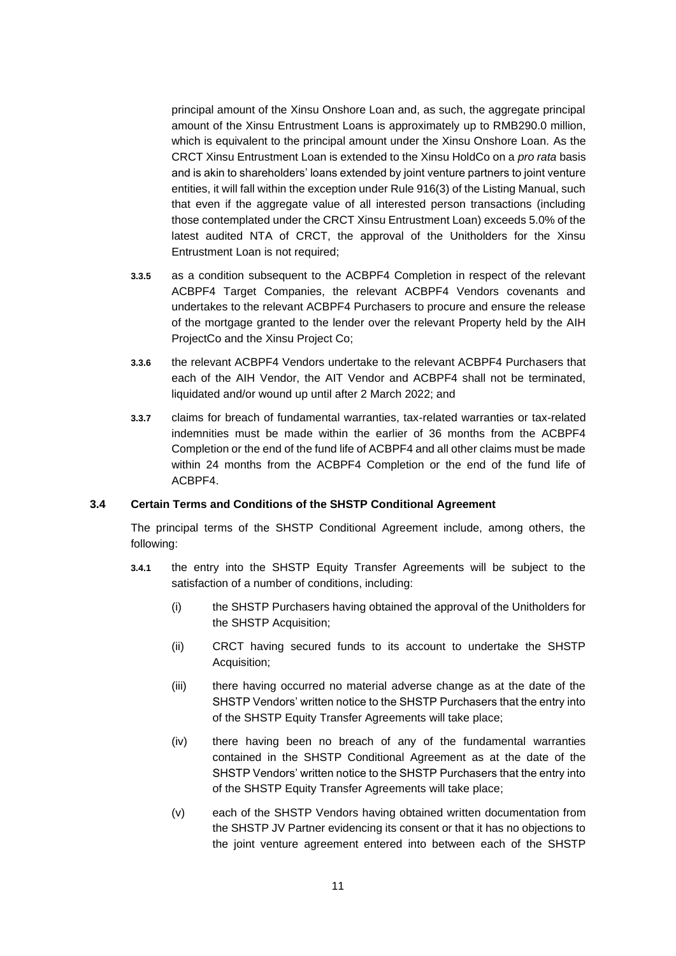principal amount of the Xinsu Onshore Loan and, as such, the aggregate principal amount of the Xinsu Entrustment Loans is approximately up to RMB290.0 million, which is equivalent to the principal amount under the Xinsu Onshore Loan. As the CRCT Xinsu Entrustment Loan is extended to the Xinsu HoldCo on a *pro rata* basis and is akin to shareholders' loans extended by joint venture partners to joint venture entities, it will fall within the exception under Rule 916(3) of the Listing Manual, such that even if the aggregate value of all interested person transactions (including those contemplated under the CRCT Xinsu Entrustment Loan) exceeds 5.0% of the latest audited NTA of CRCT, the approval of the Unitholders for the Xinsu Entrustment Loan is not required;

- **3.3.5** as a condition subsequent to the ACBPF4 Completion in respect of the relevant ACBPF4 Target Companies, the relevant ACBPF4 Vendors covenants and undertakes to the relevant ACBPF4 Purchasers to procure and ensure the release of the mortgage granted to the lender over the relevant Property held by the AIH ProjectCo and the Xinsu Project Co;
- **3.3.6** the relevant ACBPF4 Vendors undertake to the relevant ACBPF4 Purchasers that each of the AIH Vendor, the AIT Vendor and ACBPF4 shall not be terminated, liquidated and/or wound up until after 2 March 2022; and
- **3.3.7** claims for breach of fundamental warranties, tax-related warranties or tax-related indemnities must be made within the earlier of 36 months from the ACBPF4 Completion or the end of the fund life of ACBPF4 and all other claims must be made within 24 months from the ACBPF4 Completion or the end of the fund life of ACBPF4.

#### **3.4 Certain Terms and Conditions of the SHSTP Conditional Agreement**

The principal terms of the SHSTP Conditional Agreement include, among others, the following:

- **3.4.1** the entry into the SHSTP Equity Transfer Agreements will be subject to the satisfaction of a number of conditions, including:
	- (i) the SHSTP Purchasers having obtained the approval of the Unitholders for the SHSTP Acquisition;
	- (ii) CRCT having secured funds to its account to undertake the SHSTP Acquisition;
	- (iii) there having occurred no material adverse change as at the date of the SHSTP Vendors' written notice to the SHSTP Purchasers that the entry into of the SHSTP Equity Transfer Agreements will take place;
	- (iv) there having been no breach of any of the fundamental warranties contained in the SHSTP Conditional Agreement as at the date of the SHSTP Vendors' written notice to the SHSTP Purchasers that the entry into of the SHSTP Equity Transfer Agreements will take place;
	- (v) each of the SHSTP Vendors having obtained written documentation from the SHSTP JV Partner evidencing its consent or that it has no objections to the joint venture agreement entered into between each of the SHSTP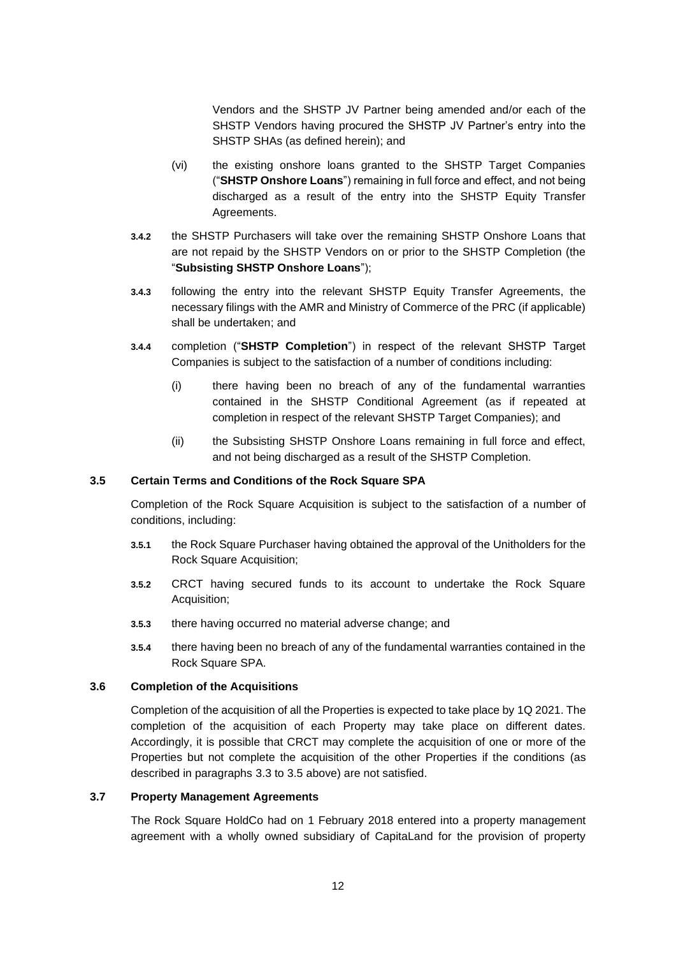Vendors and the SHSTP JV Partner being amended and/or each of the SHSTP Vendors having procured the SHSTP JV Partner's entry into the SHSTP SHAs (as defined herein); and

- (vi) the existing onshore loans granted to the SHSTP Target Companies ("**SHSTP Onshore Loans**") remaining in full force and effect, and not being discharged as a result of the entry into the SHSTP Equity Transfer Agreements.
- **3.4.2** the SHSTP Purchasers will take over the remaining SHSTP Onshore Loans that are not repaid by the SHSTP Vendors on or prior to the SHSTP Completion (the "**Subsisting SHSTP Onshore Loans**");
- **3.4.3** following the entry into the relevant SHSTP Equity Transfer Agreements, the necessary filings with the AMR and Ministry of Commerce of the PRC (if applicable) shall be undertaken; and
- **3.4.4** completion ("**SHSTP Completion**") in respect of the relevant SHSTP Target Companies is subject to the satisfaction of a number of conditions including:
	- (i) there having been no breach of any of the fundamental warranties contained in the SHSTP Conditional Agreement (as if repeated at completion in respect of the relevant SHSTP Target Companies); and
	- (ii) the Subsisting SHSTP Onshore Loans remaining in full force and effect, and not being discharged as a result of the SHSTP Completion.

#### **3.5 Certain Terms and Conditions of the Rock Square SPA**

Completion of the Rock Square Acquisition is subject to the satisfaction of a number of conditions, including:

- **3.5.1** the Rock Square Purchaser having obtained the approval of the Unitholders for the Rock Square Acquisition;
- **3.5.2** CRCT having secured funds to its account to undertake the Rock Square Acquisition;
- **3.5.3** there having occurred no material adverse change; and
- **3.5.4** there having been no breach of any of the fundamental warranties contained in the Rock Square SPA.

## **3.6 Completion of the Acquisitions**

Completion of the acquisition of all the Properties is expected to take place by 1Q 2021. The completion of the acquisition of each Property may take place on different dates. Accordingly, it is possible that CRCT may complete the acquisition of one or more of the Properties but not complete the acquisition of the other Properties if the conditions (as described in paragraphs 3.3 to 3.5 above) are not satisfied.

#### **3.7 Property Management Agreements**

The Rock Square HoldCo had on 1 February 2018 entered into a property management agreement with a wholly owned subsidiary of CapitaLand for the provision of property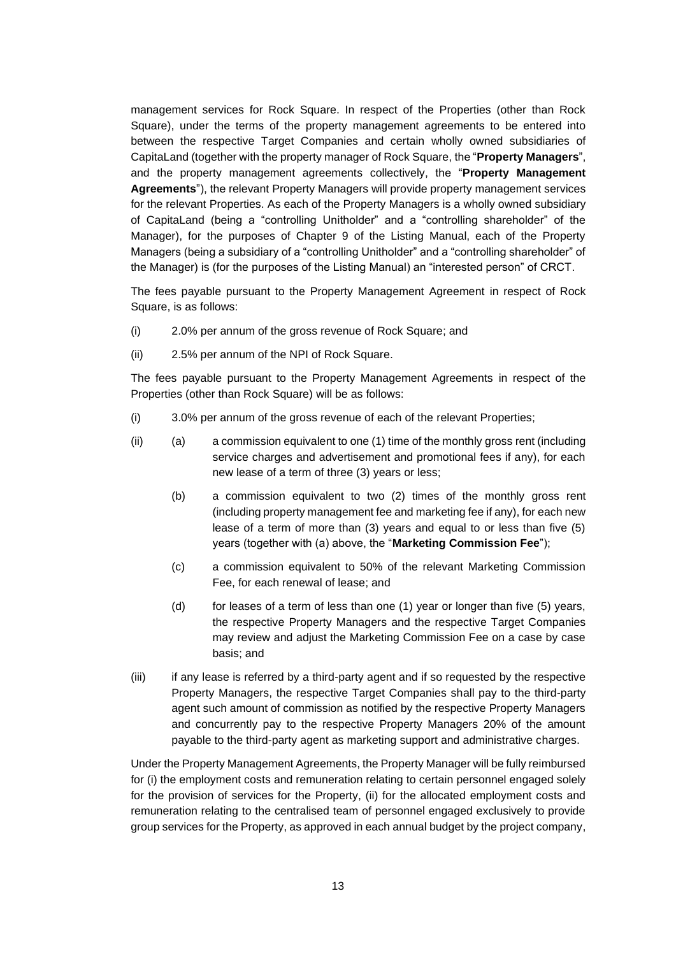management services for Rock Square. In respect of the Properties (other than Rock Square), under the terms of the property management agreements to be entered into between the respective Target Companies and certain wholly owned subsidiaries of CapitaLand (together with the property manager of Rock Square, the "**Property Managers**", and the property management agreements collectively, the "**Property Management Agreements**"), the relevant Property Managers will provide property management services for the relevant Properties. As each of the Property Managers is a wholly owned subsidiary of CapitaLand (being a "controlling Unitholder" and a "controlling shareholder" of the Manager), for the purposes of Chapter 9 of the Listing Manual, each of the Property Managers (being a subsidiary of a "controlling Unitholder" and a "controlling shareholder" of the Manager) is (for the purposes of the Listing Manual) an "interested person" of CRCT.

The fees payable pursuant to the Property Management Agreement in respect of Rock Square, is as follows:

- (i) 2.0% per annum of the gross revenue of Rock Square; and
- (ii) 2.5% per annum of the NPI of Rock Square.

The fees payable pursuant to the Property Management Agreements in respect of the Properties (other than Rock Square) will be as follows:

- (i) 3.0% per annum of the gross revenue of each of the relevant Properties;
- (ii) (a) a commission equivalent to one (1) time of the monthly gross rent (including service charges and advertisement and promotional fees if any), for each new lease of a term of three (3) years or less;
	- (b) a commission equivalent to two (2) times of the monthly gross rent (including property management fee and marketing fee if any), for each new lease of a term of more than (3) years and equal to or less than five (5) years (together with (a) above, the "**Marketing Commission Fee**");
	- (c) a commission equivalent to 50% of the relevant Marketing Commission Fee, for each renewal of lease; and
	- (d) for leases of a term of less than one  $(1)$  year or longer than five  $(5)$  years, the respective Property Managers and the respective Target Companies may review and adjust the Marketing Commission Fee on a case by case basis; and
- (iii) if any lease is referred by a third-party agent and if so requested by the respective Property Managers, the respective Target Companies shall pay to the third-party agent such amount of commission as notified by the respective Property Managers and concurrently pay to the respective Property Managers 20% of the amount payable to the third-party agent as marketing support and administrative charges.

Under the Property Management Agreements, the Property Manager will be fully reimbursed for (i) the employment costs and remuneration relating to certain personnel engaged solely for the provision of services for the Property, (ii) for the allocated employment costs and remuneration relating to the centralised team of personnel engaged exclusively to provide group services for the Property, as approved in each annual budget by the project company,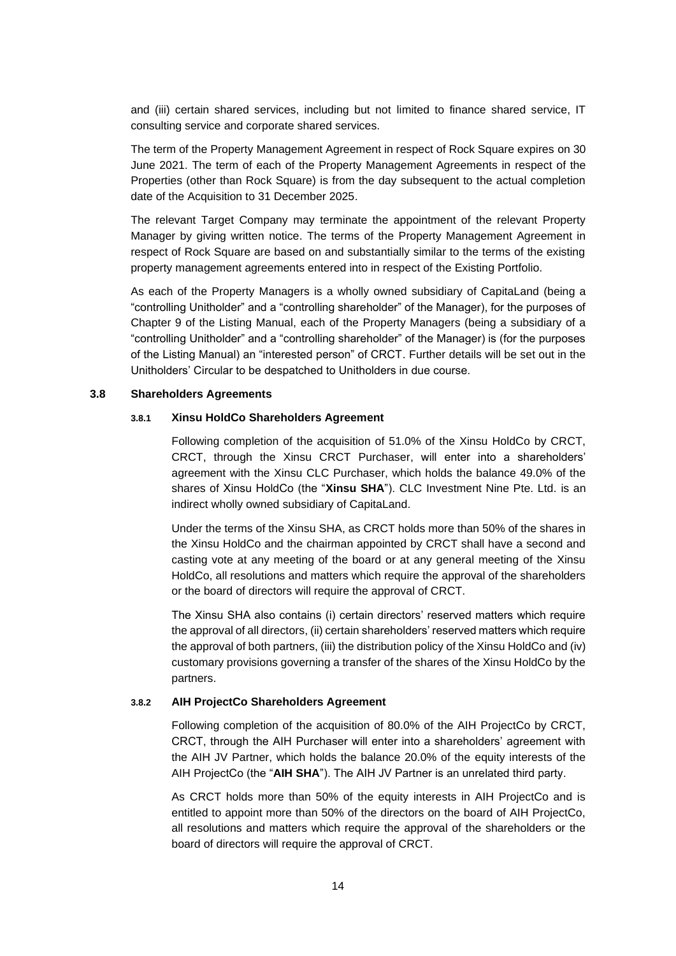and (iii) certain shared services, including but not limited to finance shared service, IT consulting service and corporate shared services.

The term of the Property Management Agreement in respect of Rock Square expires on 30 June 2021. The term of each of the Property Management Agreements in respect of the Properties (other than Rock Square) is from the day subsequent to the actual completion date of the Acquisition to 31 December 2025.

The relevant Target Company may terminate the appointment of the relevant Property Manager by giving written notice. The terms of the Property Management Agreement in respect of Rock Square are based on and substantially similar to the terms of the existing property management agreements entered into in respect of the Existing Portfolio.

As each of the Property Managers is a wholly owned subsidiary of CapitaLand (being a "controlling Unitholder" and a "controlling shareholder" of the Manager), for the purposes of Chapter 9 of the Listing Manual, each of the Property Managers (being a subsidiary of a "controlling Unitholder" and a "controlling shareholder" of the Manager) is (for the purposes of the Listing Manual) an "interested person" of CRCT. Further details will be set out in the Unitholders' Circular to be despatched to Unitholders in due course.

#### **3.8 Shareholders Agreements**

#### **3.8.1 Xinsu HoldCo Shareholders Agreement**

Following completion of the acquisition of 51.0% of the Xinsu HoldCo by CRCT, CRCT, through the Xinsu CRCT Purchaser, will enter into a shareholders' agreement with the Xinsu CLC Purchaser, which holds the balance 49.0% of the shares of Xinsu HoldCo (the "**Xinsu SHA**"). CLC Investment Nine Pte. Ltd. is an indirect wholly owned subsidiary of CapitaLand.

Under the terms of the Xinsu SHA, as CRCT holds more than 50% of the shares in the Xinsu HoldCo and the chairman appointed by CRCT shall have a second and casting vote at any meeting of the board or at any general meeting of the Xinsu HoldCo, all resolutions and matters which require the approval of the shareholders or the board of directors will require the approval of CRCT.

The Xinsu SHA also contains (i) certain directors' reserved matters which require the approval of all directors, (ii) certain shareholders' reserved matters which require the approval of both partners, (iii) the distribution policy of the Xinsu HoldCo and (iv) customary provisions governing a transfer of the shares of the Xinsu HoldCo by the partners.

#### **3.8.2 AIH ProjectCo Shareholders Agreement**

Following completion of the acquisition of 80.0% of the AIH ProjectCo by CRCT, CRCT, through the AIH Purchaser will enter into a shareholders' agreement with the AIH JV Partner, which holds the balance 20.0% of the equity interests of the AIH ProjectCo (the "**AIH SHA**"). The AIH JV Partner is an unrelated third party.

As CRCT holds more than 50% of the equity interests in AIH ProjectCo and is entitled to appoint more than 50% of the directors on the board of AIH ProjectCo, all resolutions and matters which require the approval of the shareholders or the board of directors will require the approval of CRCT.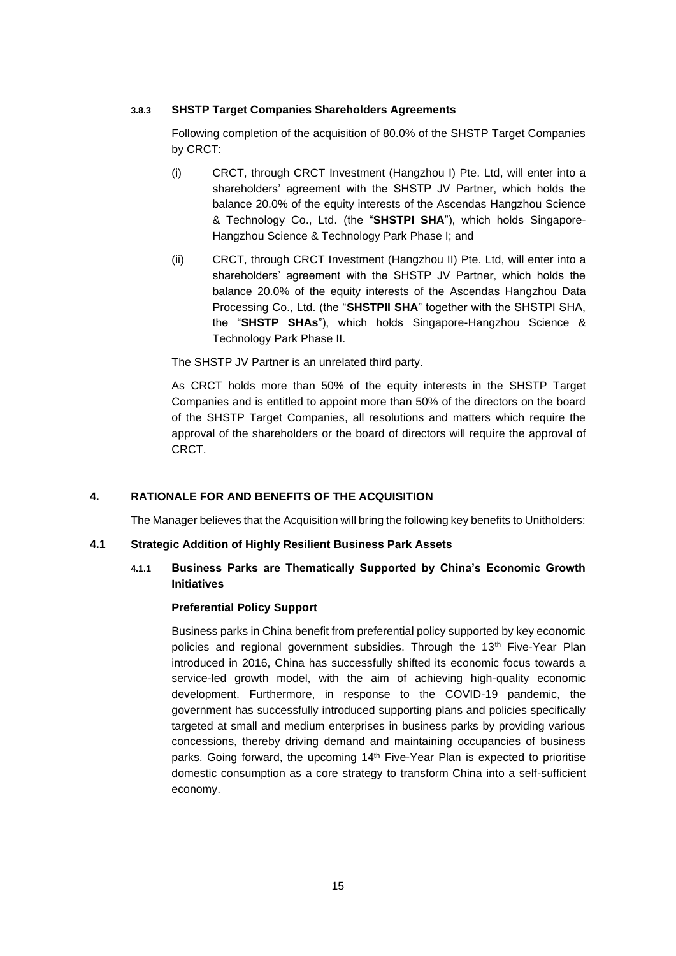## **3.8.3 SHSTP Target Companies Shareholders Agreements**

Following completion of the acquisition of 80.0% of the SHSTP Target Companies by CRCT:

- (i) CRCT, through CRCT Investment (Hangzhou I) Pte. Ltd, will enter into a shareholders' agreement with the SHSTP JV Partner, which holds the balance 20.0% of the equity interests of the Ascendas Hangzhou Science & Technology Co., Ltd. (the "**SHSTPI SHA**"), which holds Singapore-Hangzhou Science & Technology Park Phase I; and
- (ii) CRCT, through CRCT Investment (Hangzhou II) Pte. Ltd, will enter into a shareholders' agreement with the SHSTP JV Partner, which holds the balance 20.0% of the equity interests of the Ascendas Hangzhou Data Processing Co., Ltd. (the "**SHSTPII SHA**" together with the SHSTPI SHA, the "**SHSTP SHAs**"), which holds Singapore-Hangzhou Science & Technology Park Phase II.

The SHSTP JV Partner is an unrelated third party.

As CRCT holds more than 50% of the equity interests in the SHSTP Target Companies and is entitled to appoint more than 50% of the directors on the board of the SHSTP Target Companies, all resolutions and matters which require the approval of the shareholders or the board of directors will require the approval of CRCT.

## **4. RATIONALE FOR AND BENEFITS OF THE ACQUISITION**

The Manager believes that the Acquisition will bring the following key benefits to Unitholders:

## **4.1 Strategic Addition of Highly Resilient Business Park Assets**

# **4.1.1 Business Parks are Thematically Supported by China's Economic Growth Initiatives**

## **Preferential Policy Support**

Business parks in China benefit from preferential policy supported by key economic policies and regional government subsidies. Through the  $13<sup>th</sup>$  Five-Year Plan introduced in 2016, China has successfully shifted its economic focus towards a service-led growth model, with the aim of achieving high-quality economic development. Furthermore, in response to the COVID-19 pandemic, the government has successfully introduced supporting plans and policies specifically targeted at small and medium enterprises in business parks by providing various concessions, thereby driving demand and maintaining occupancies of business parks. Going forward, the upcoming 14<sup>th</sup> Five-Year Plan is expected to prioritise domestic consumption as a core strategy to transform China into a self-sufficient economy.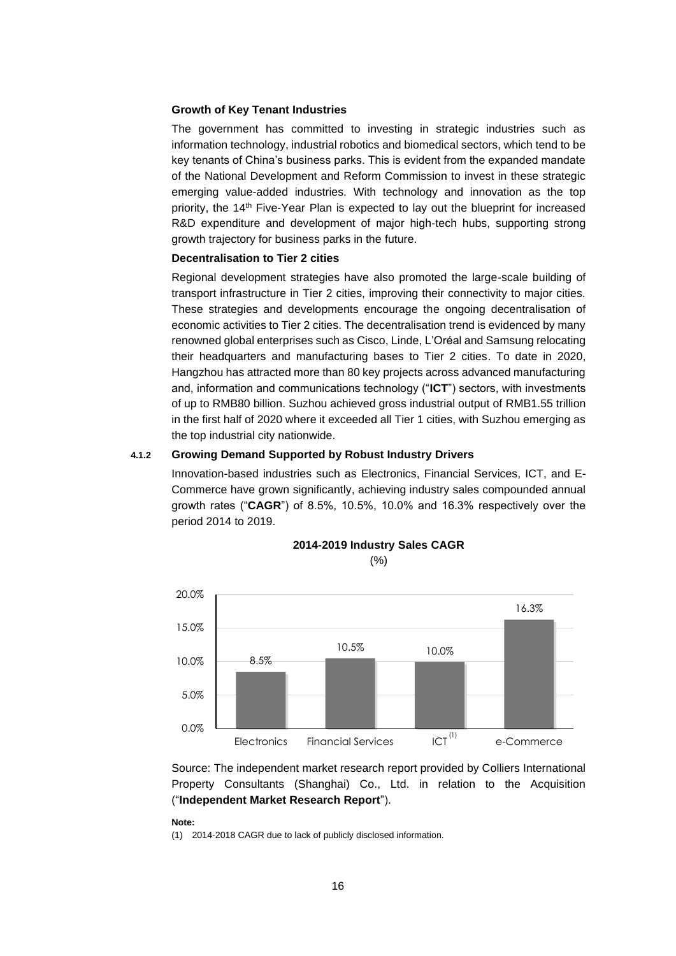## **Growth of Key Tenant Industries**

The government has committed to investing in strategic industries such as information technology, industrial robotics and biomedical sectors, which tend to be key tenants of China's business parks. This is evident from the expanded mandate of the National Development and Reform Commission to invest in these strategic emerging value-added industries. With technology and innovation as the top priority, the 14th Five-Year Plan is expected to lay out the blueprint for increased R&D expenditure and development of major high-tech hubs, supporting strong growth trajectory for business parks in the future.

#### **Decentralisation to Tier 2 cities**

Regional development strategies have also promoted the large-scale building of transport infrastructure in Tier 2 cities, improving their connectivity to major cities. These strategies and developments encourage the ongoing decentralisation of economic activities to Tier 2 cities. The decentralisation trend is evidenced by many renowned global enterprises such as Cisco, Linde, L'Oréal and Samsung relocating their headquarters and manufacturing bases to Tier 2 cities. To date in 2020, Hangzhou has attracted more than 80 key projects across advanced manufacturing and, information and communications technology ("**ICT**") sectors, with investments of up to RMB80 billion. Suzhou achieved gross industrial output of RMB1.55 trillion in the first half of 2020 where it exceeded all Tier 1 cities, with Suzhou emerging as the top industrial city nationwide.

#### **4.1.2 Growing Demand Supported by Robust Industry Drivers**

Innovation-based industries such as Electronics, Financial Services, ICT, and E-Commerce have grown significantly, achieving industry sales compounded annual growth rates ("**CAGR**") of 8.5%, 10.5%, 10.0% and 16.3% respectively over the period 2014 to 2019.



#### **2014-2019 Industry Sales CAGR**  (%)

Source: The independent market research report provided by Colliers International Property Consultants (Shanghai) Co., Ltd. in relation to the Acquisition ("**Independent Market Research Report**").

#### **Note:**

(1) 2014-2018 CAGR due to lack of publicly disclosed information.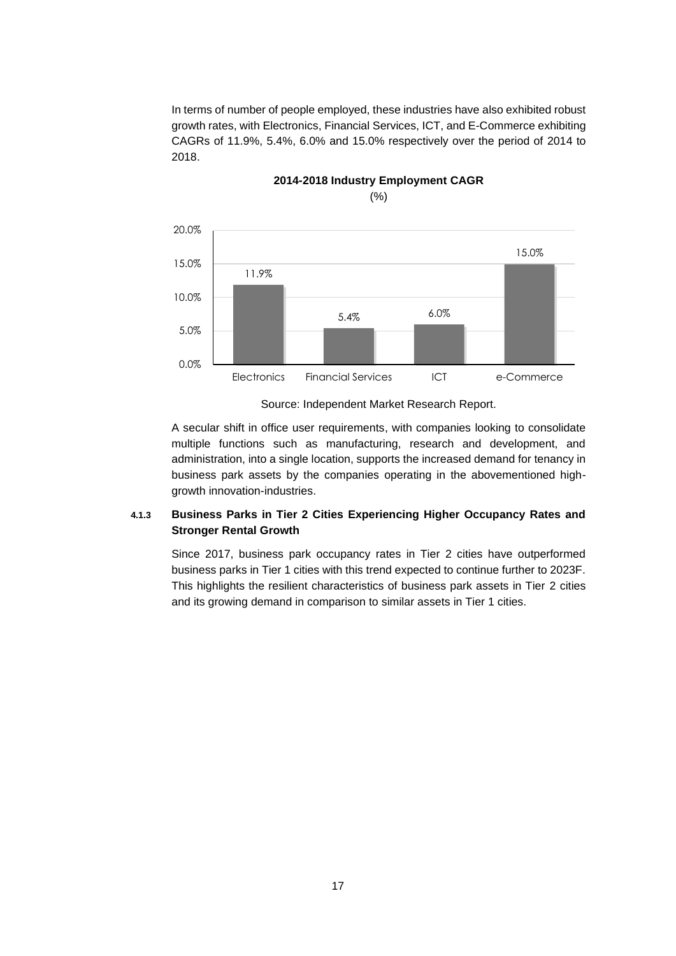In terms of number of people employed, these industries have also exhibited robust growth rates, with Electronics, Financial Services, ICT, and E-Commerce exhibiting CAGRs of 11.9%, 5.4%, 6.0% and 15.0% respectively over the period of 2014 to 2018.



# **2014-2018 Industry Employment CAGR** (%)

A secular shift in office user requirements, with companies looking to consolidate multiple functions such as manufacturing, research and development, and administration, into a single location, supports the increased demand for tenancy in business park assets by the companies operating in the abovementioned highgrowth innovation-industries.

# **4.1.3 Business Parks in Tier 2 Cities Experiencing Higher Occupancy Rates and Stronger Rental Growth**

Since 2017, business park occupancy rates in Tier 2 cities have outperformed business parks in Tier 1 cities with this trend expected to continue further to 2023F. This highlights the resilient characteristics of business park assets in Tier 2 cities and its growing demand in comparison to similar assets in Tier 1 cities.

Source: Independent Market Research Report.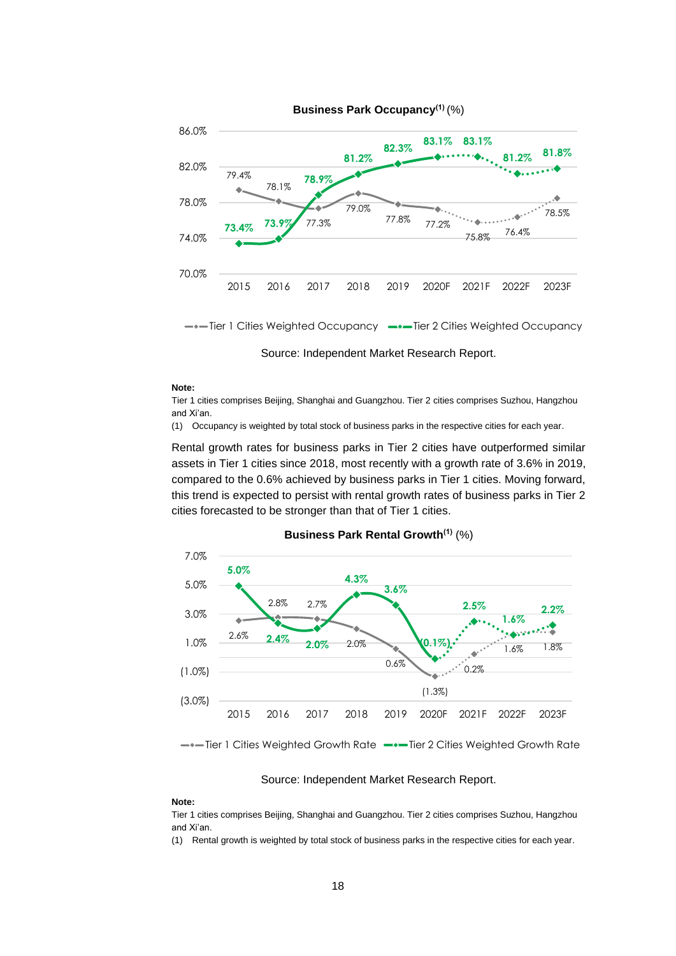

**Business Park Occupancy(1)** (%)

--- Tier 1 Cities Weighted Occupancy --- Tier 2 Cities Weighted Occupancy

Source: Independent Market Research Report.

#### **Note:**

Tier 1 cities comprises Beijing, Shanghai and Guangzhou. Tier 2 cities comprises Suzhou, Hangzhou and Xi'an.

(1) Occupancy is weighted by total stock of business parks in the respective cities for each year.

Rental growth rates for business parks in Tier 2 cities have outperformed similar assets in Tier 1 cities since 2018, most recently with a growth rate of 3.6% in 2019, compared to the 0.6% achieved by business parks in Tier 1 cities. Moving forward, this trend is expected to persist with rental growth rates of business parks in Tier 2 cities forecasted to be stronger than that of Tier 1 cities.



**Business Park Rental Growth(1)** (%)

- $\rightarrow$  Tier 1 Cities Weighted Growth Rate  $\rightarrow$  Tier 2 Cities Weighted Growth Rate

#### Source: Independent Market Research Report.

#### **Note:**

Tier 1 cities comprises Beijing, Shanghai and Guangzhou. Tier 2 cities comprises Suzhou, Hangzhou and Xi'an.

(1) Rental growth is weighted by total stock of business parks in the respective cities for each year.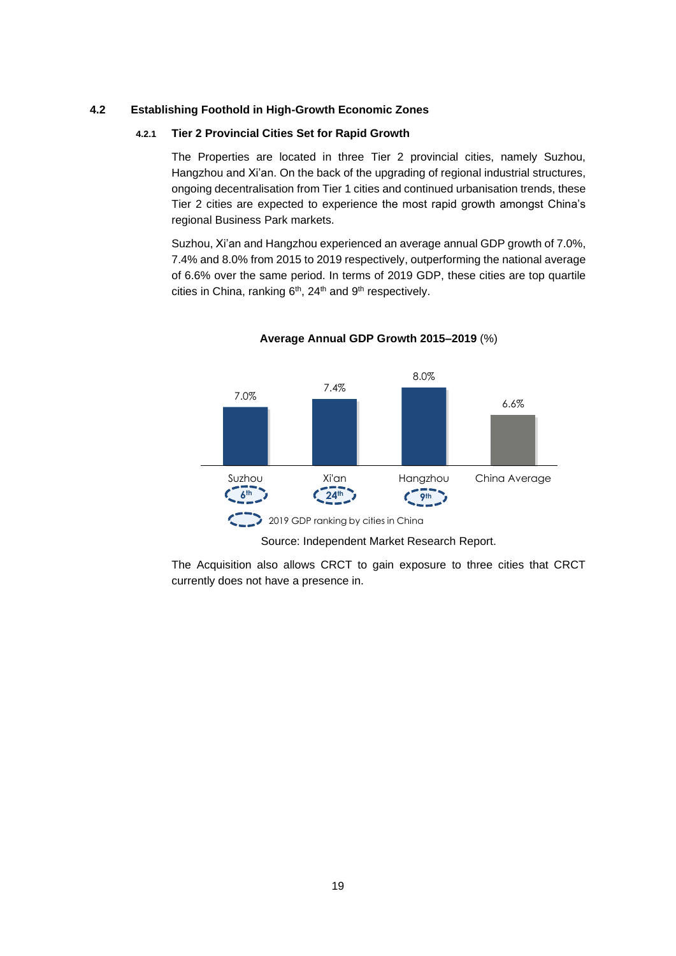#### **4.2 Establishing Foothold in High-Growth Economic Zones**

#### **4.2.1 Tier 2 Provincial Cities Set for Rapid Growth**

The Properties are located in three Tier 2 provincial cities, namely Suzhou, Hangzhou and Xi'an. On the back of the upgrading of regional industrial structures, ongoing decentralisation from Tier 1 cities and continued urbanisation trends, these Tier 2 cities are expected to experience the most rapid growth amongst China's regional Business Park markets.

Suzhou, Xi'an and Hangzhou experienced an average annual GDP growth of 7.0%, 7.4% and 8.0% from 2015 to 2019 respectively, outperforming the national average of 6.6% over the same period. In terms of 2019 GDP, these cities are top quartile cities in China, ranking  $6<sup>th</sup>$ , 24<sup>th</sup> and  $9<sup>th</sup>$  respectively.





Source: Independent Market Research Report.

The Acquisition also allows CRCT to gain exposure to three cities that CRCT currently does not have a presence in.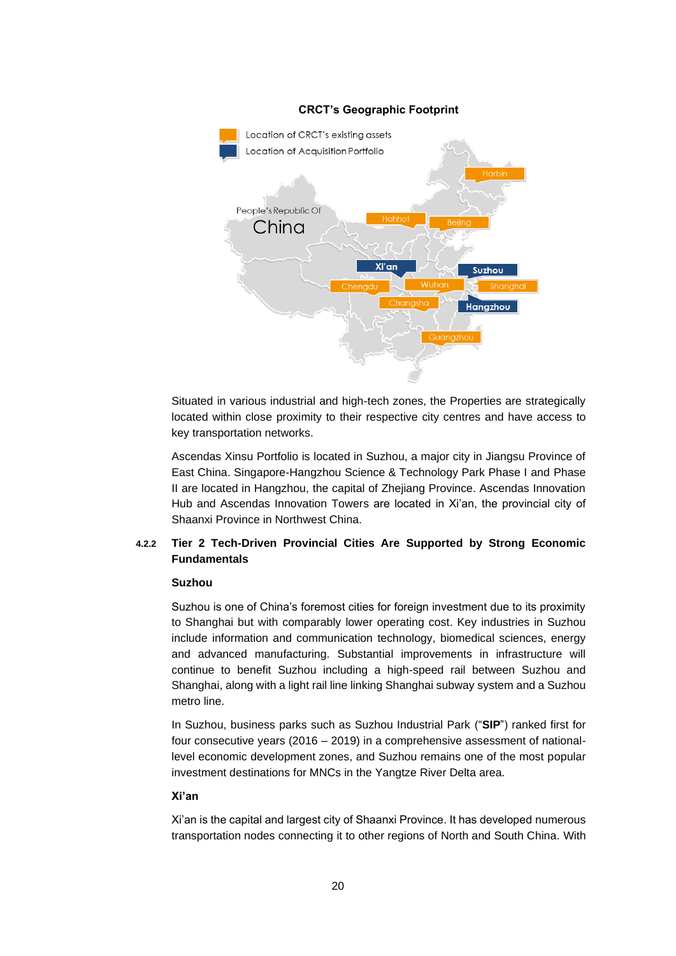

Situated in various industrial and high-tech zones, the Properties are strategically located within close proximity to their respective city centres and have access to key transportation networks.

Ascendas Xinsu Portfolio is located in Suzhou, a major city in Jiangsu Province of East China. Singapore-Hangzhou Science & Technology Park Phase I and Phase II are located in Hangzhou, the capital of Zhejiang Province. Ascendas Innovation Hub and Ascendas Innovation Towers are located in Xi'an, the provincial city of Shaanxi Province in Northwest China.

# **4.2.2 Tier 2 Tech-Driven Provincial Cities Are Supported by Strong Economic Fundamentals**

## **Suzhou**

Suzhou is one of China's foremost cities for foreign investment due to its proximity to Shanghai but with comparably lower operating cost. Key industries in Suzhou include information and communication technology, biomedical sciences, energy and advanced manufacturing. Substantial improvements in infrastructure will continue to benefit Suzhou including a high-speed rail between Suzhou and Shanghai, along with a light rail line linking Shanghai subway system and a Suzhou metro line.

In Suzhou, business parks such as Suzhou Industrial Park ("**SIP**") ranked first for four consecutive years (2016 – 2019) in a comprehensive assessment of nationallevel economic development zones, and Suzhou remains one of the most popular investment destinations for MNCs in the Yangtze River Delta area.

#### **Xi'an**

Xi'an is the capital and largest city of Shaanxi Province. It has developed numerous transportation nodes connecting it to other regions of North and South China. With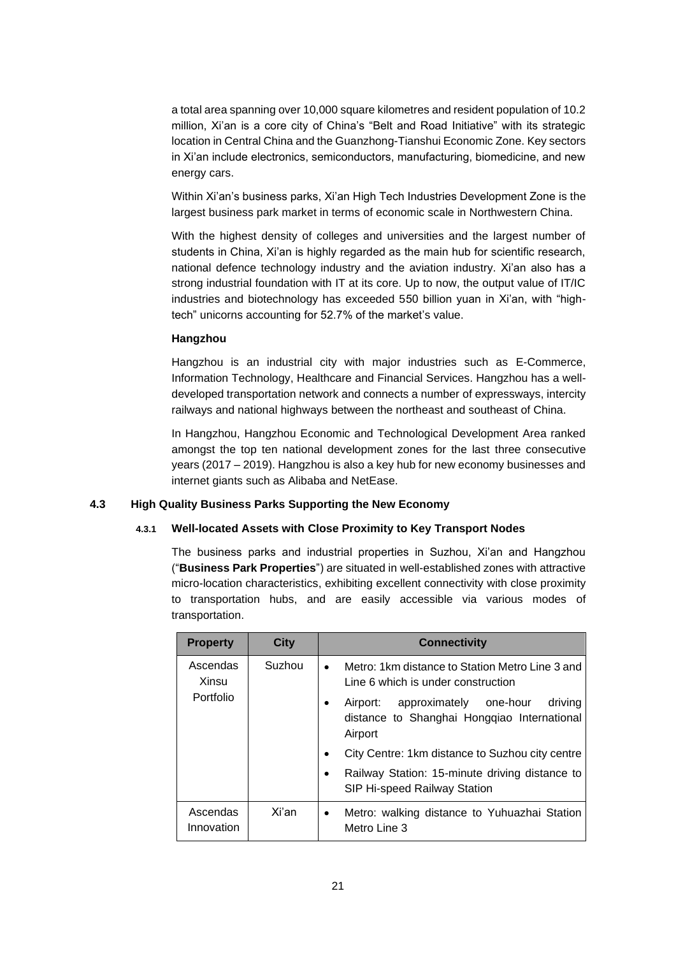a total area spanning over 10,000 square kilometres and resident population of 10.2 million, Xi'an is a core city of China's "Belt and Road Initiative" with its strategic location in Central China and the Guanzhong-Tianshui Economic Zone. Key sectors in Xi'an include electronics, semiconductors, manufacturing, biomedicine, and new energy cars.

Within Xi'an's business parks, Xi'an High Tech Industries Development Zone is the largest business park market in terms of economic scale in Northwestern China.

With the highest density of colleges and universities and the largest number of students in China, Xi'an is highly regarded as the main hub for scientific research, national defence technology industry and the aviation industry. Xi'an also has a strong industrial foundation with IT at its core. Up to now, the output value of IT/IC industries and biotechnology has exceeded 550 billion yuan in Xi'an, with "hightech" unicorns accounting for 52.7% of the market's value.

#### **Hangzhou**

Hangzhou is an industrial city with major industries such as E-Commerce, Information Technology, Healthcare and Financial Services. Hangzhou has a welldeveloped transportation network and connects a number of expressways, intercity railways and national highways between the northeast and southeast of China.

In Hangzhou, Hangzhou Economic and Technological Development Area ranked amongst the top ten national development zones for the last three consecutive years (2017 – 2019). Hangzhou is also a key hub for new economy businesses and internet giants such as Alibaba and NetEase.

## **4.3 High Quality Business Parks Supporting the New Economy**

#### **4.3.1 Well-located Assets with Close Proximity to Key Transport Nodes**

The business parks and industrial properties in Suzhou, Xi'an and Hangzhou ("**Business Park Properties**") are situated in well-established zones with attractive micro-location characteristics, exhibiting excellent connectivity with close proximity to transportation hubs, and are easily accessible via various modes of transportation.

| <b>Property</b>        | City                                                                                                                 | <b>Connectivity</b>                                                                                |                                                       |  |  |
|------------------------|----------------------------------------------------------------------------------------------------------------------|----------------------------------------------------------------------------------------------------|-------------------------------------------------------|--|--|
| Ascendas<br>Xinsu      | Suzhou                                                                                                               | Metro: 1km distance to Station Metro Line 3 and<br>$\bullet$<br>Line 6 which is under construction |                                                       |  |  |
| Portfolio              | approximately one-hour<br>driving<br>Airport:<br>$\bullet$<br>distance to Shanghai Hongqiao International<br>Airport |                                                                                                    |                                                       |  |  |
|                        |                                                                                                                      |                                                                                                    | City Centre: 1 km distance to Suzhou city centre<br>٠ |  |  |
|                        |                                                                                                                      | Railway Station: 15-minute driving distance to<br>SIP Hi-speed Railway Station                     |                                                       |  |  |
| Ascendas<br>Innovation | Xi'an                                                                                                                | Metro: walking distance to Yuhuazhai Station<br>$\bullet$<br>Metro Line 3                          |                                                       |  |  |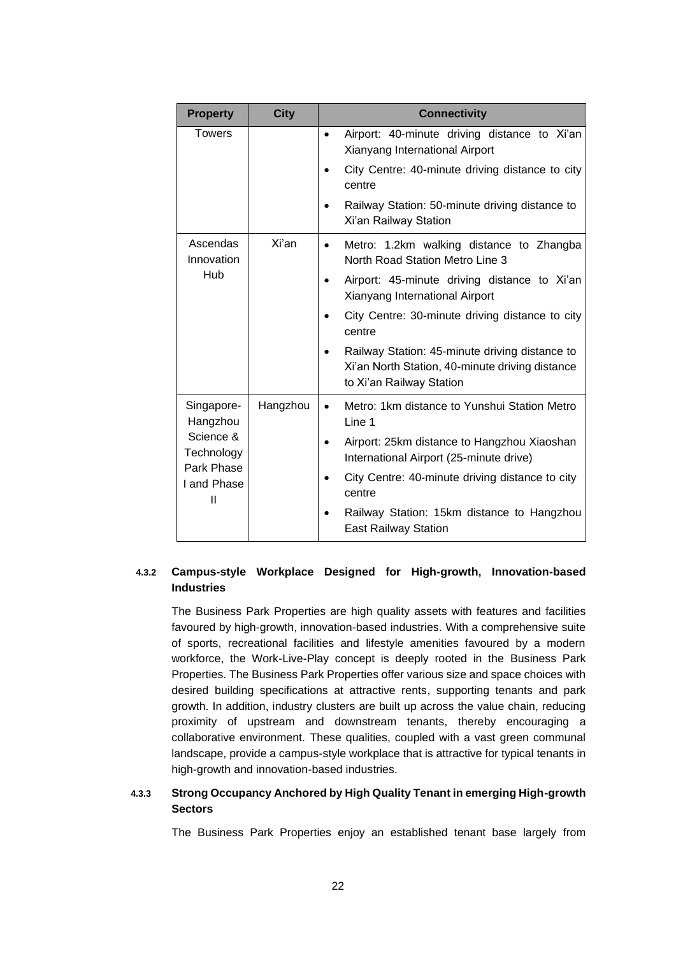| <b>Property</b>                | <b>City</b> | <b>Connectivity</b>                                                                                                           |
|--------------------------------|-------------|-------------------------------------------------------------------------------------------------------------------------------|
| <b>Towers</b>                  |             | Airport: 40-minute driving distance to Xi'an<br>$\bullet$<br>Xianyang International Airport                                   |
|                                |             | City Centre: 40-minute driving distance to city<br>centre                                                                     |
|                                |             | Railway Station: 50-minute driving distance to<br>Xi'an Railway Station                                                       |
| Ascendas<br>Innovation         | Xi'an       | Metro: 1.2km walking distance to Zhangba<br>$\bullet$<br>North Road Station Metro Line 3                                      |
| Hub                            |             | Airport: 45-minute driving distance to Xi'an<br>Xianyang International Airport                                                |
|                                |             | City Centre: 30-minute driving distance to city<br>centre                                                                     |
|                                |             | Railway Station: 45-minute driving distance to<br>Xi'an North Station, 40-minute driving distance<br>to Xi'an Railway Station |
| Singapore-<br>Hangzhou         | Hangzhou    | Metro: 1km distance to Yunshui Station Metro<br>$\bullet$<br>Line 1                                                           |
| Science &<br>Technology        |             | Airport: 25km distance to Hangzhou Xiaoshan<br>International Airport (25-minute drive)                                        |
| Park Phase<br>I and Phase<br>Ш |             | City Centre: 40-minute driving distance to city<br>centre                                                                     |
|                                |             | Railway Station: 15km distance to Hangzhou<br><b>East Railway Station</b>                                                     |

# **4.3.2 Campus-style Workplace Designed for High-growth, Innovation-based Industries**

The Business Park Properties are high quality assets with features and facilities favoured by high-growth, innovation-based industries. With a comprehensive suite of sports, recreational facilities and lifestyle amenities favoured by a modern workforce, the Work-Live-Play concept is deeply rooted in the Business Park Properties. The Business Park Properties offer various size and space choices with desired building specifications at attractive rents, supporting tenants and park growth. In addition, industry clusters are built up across the value chain, reducing proximity of upstream and downstream tenants, thereby encouraging a collaborative environment. These qualities, coupled with a vast green communal landscape, provide a campus-style workplace that is attractive for typical tenants in high-growth and innovation-based industries.

# **4.3.3 Strong Occupancy Anchored by High Quality Tenant in emerging High-growth Sectors**

The Business Park Properties enjoy an established tenant base largely from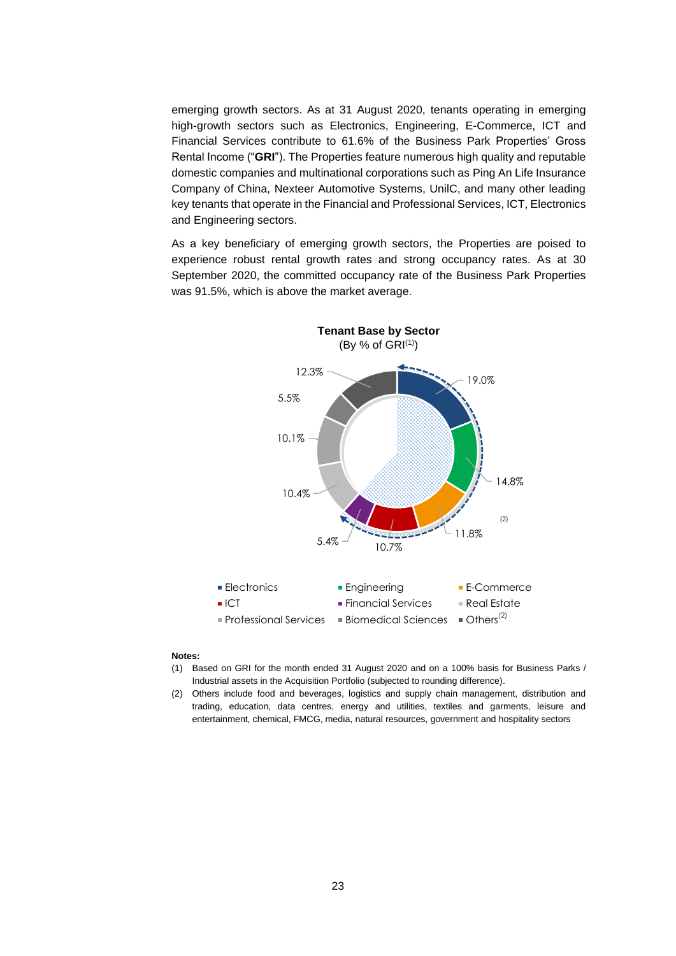emerging growth sectors. As at 31 August 2020, tenants operating in emerging high-growth sectors such as Electronics, Engineering, E-Commerce, ICT and Financial Services contribute to 61.6% of the Business Park Properties' Gross Rental Income ("**GRI**"). The Properties feature numerous high quality and reputable domestic companies and multinational corporations such as Ping An Life Insurance Company of China, Nexteer Automotive Systems, UnilC, and many other leading key tenants that operate in the Financial and Professional Services, ICT, Electronics and Engineering sectors.

As a key beneficiary of emerging growth sectors, the Properties are poised to experience robust rental growth rates and strong occupancy rates. As at 30 September 2020, the committed occupancy rate of the Business Park Properties was 91.5%, which is above the market average.



#### **Notes:**

- (1) Based on GRI for the month ended 31 August 2020 and on a 100% basis for Business Parks / Industrial assets in the Acquisition Portfolio (subjected to rounding difference).
- (2) Others include food and beverages, logistics and supply chain management, distribution and trading, education, data centres, energy and utilities, textiles and garments, leisure and entertainment, chemical, FMCG, media, natural resources, government and hospitality sectors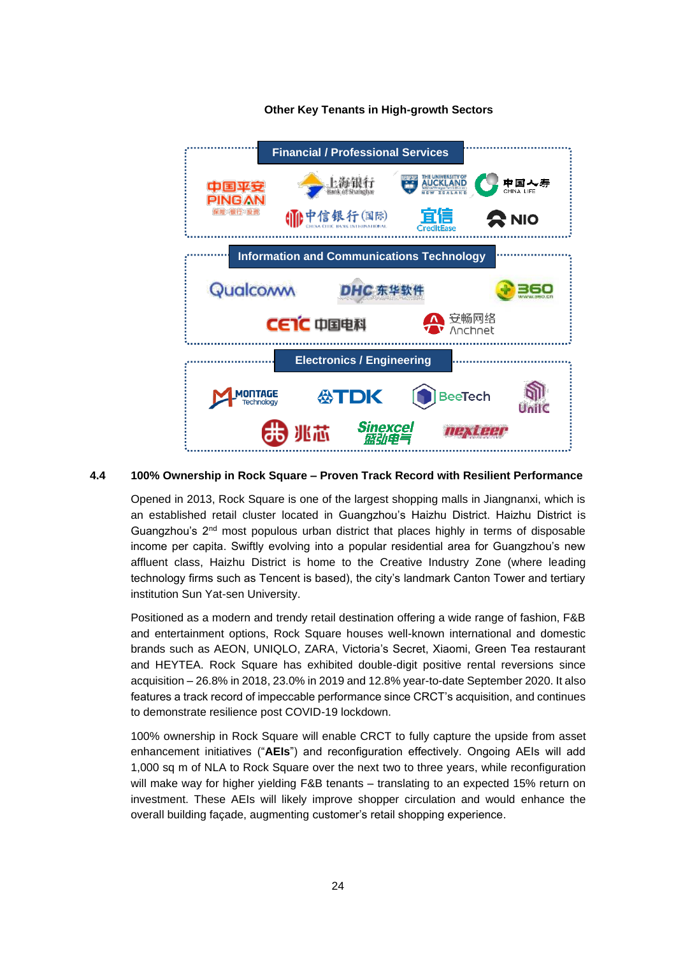

## **Other Key Tenants in High-growth Sectors**

## **4.4 100% Ownership in Rock Square – Proven Track Record with Resilient Performance**

Opened in 2013, Rock Square is one of the largest shopping malls in Jiangnanxi, which is an established retail cluster located in Guangzhou's Haizhu District. Haizhu District is Guangzhou's  $2<sup>nd</sup>$  most populous urban district that places highly in terms of disposable income per capita. Swiftly evolving into a popular residential area for Guangzhou's new affluent class, Haizhu District is home to the Creative Industry Zone (where leading technology firms such as Tencent is based), the city's landmark Canton Tower and tertiary institution Sun Yat-sen University.

Positioned as a modern and trendy retail destination offering a wide range of fashion, F&B and entertainment options, Rock Square houses well-known international and domestic brands such as AEON, UNIQLO, ZARA, Victoria's Secret, Xiaomi, Green Tea restaurant and HEYTEA. Rock Square has exhibited double-digit positive rental reversions since acquisition – 26.8% in 2018, 23.0% in 2019 and 12.8% year-to-date September 2020. It also features a track record of impeccable performance since CRCT's acquisition, and continues to demonstrate resilience post COVID-19 lockdown.

100% ownership in Rock Square will enable CRCT to fully capture the upside from asset enhancement initiatives ("**AEIs**") and reconfiguration effectively. Ongoing AEIs will add 1,000 sq m of NLA to Rock Square over the next two to three years, while reconfiguration will make way for higher yielding F&B tenants – translating to an expected 15% return on investment. These AEIs will likely improve shopper circulation and would enhance the overall building façade, augmenting customer's retail shopping experience.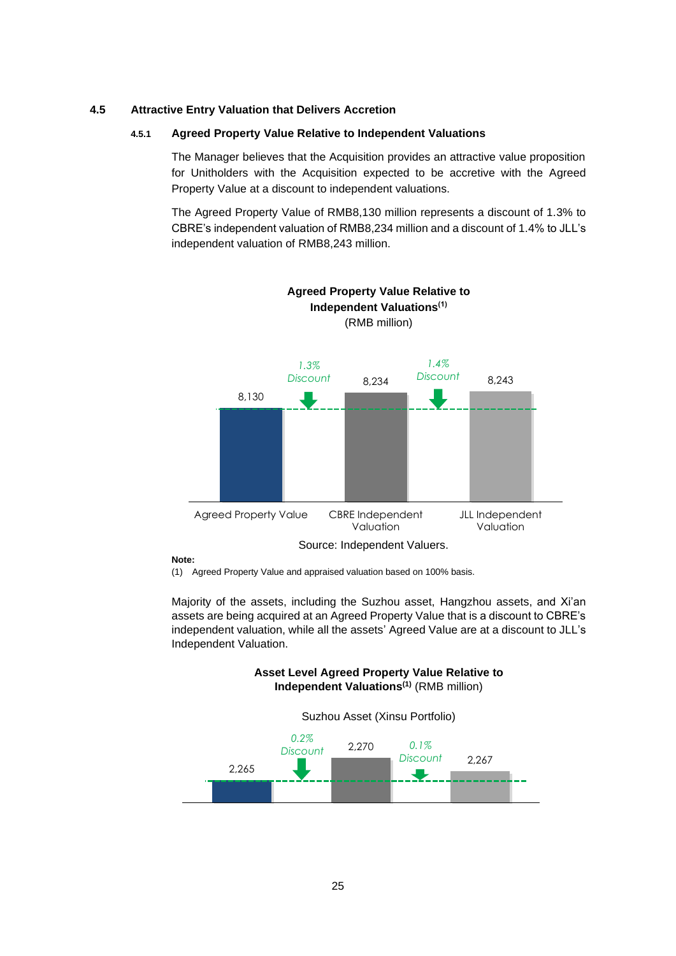## **4.5 Attractive Entry Valuation that Delivers Accretion**

#### **4.5.1 Agreed Property Value Relative to Independent Valuations**

The Manager believes that the Acquisition provides an attractive value proposition for Unitholders with the Acquisition expected to be accretive with the Agreed Property Value at a discount to independent valuations.

The Agreed Property Value of RMB8,130 million represents a discount of 1.3% to CBRE's independent valuation of RMB8,234 million and a discount of 1.4% to JLL's independent valuation of RMB8,243 million.



#### **Note:**

(1) Agreed Property Value and appraised valuation based on 100% basis.

Majority of the assets, including the Suzhou asset, Hangzhou assets, and Xi'an assets are being acquired at an Agreed Property Value that is a discount to CBRE's independent valuation, while all the assets' Agreed Value are at a discount to JLL's Independent Valuation.

> **Asset Level Agreed Property Value Relative to Independent Valuations(1)** (RMB million)

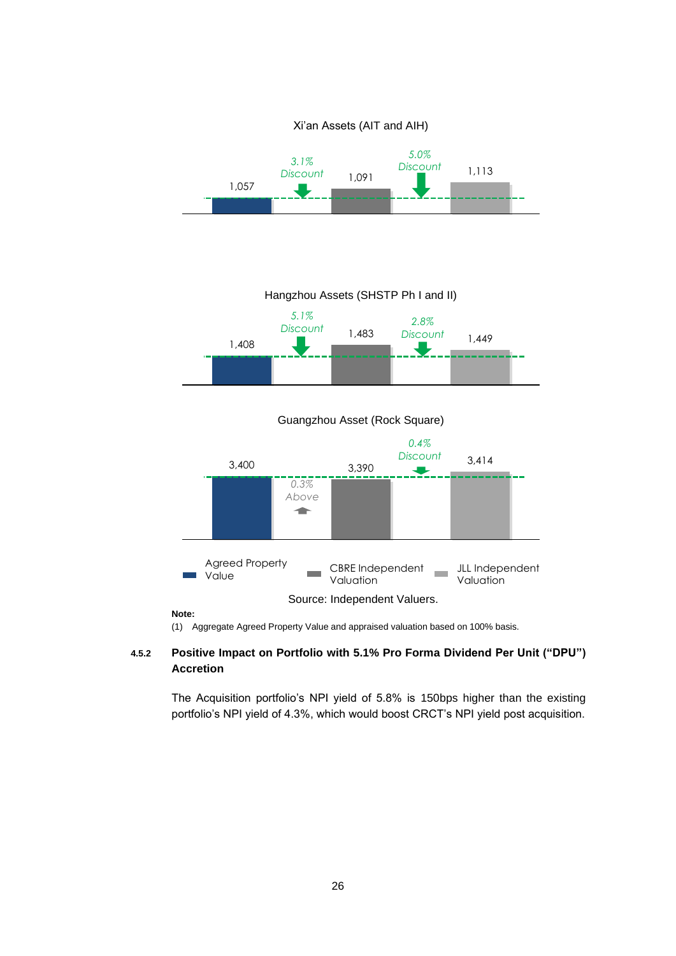

Hangzhou Assets (SHSTP Ph I and II)



Guangzhou Asset (Rock Square)



**Note:**

(1) Aggregate Agreed Property Value and appraised valuation based on 100% basis.

# **4.5.2 Positive Impact on Portfolio with 5.1% Pro Forma Dividend Per Unit ("DPU") Accretion**

The Acquisition portfolio's NPI yield of 5.8% is 150bps higher than the existing portfolio's NPI yield of 4.3%, which would boost CRCT's NPI yield post acquisition.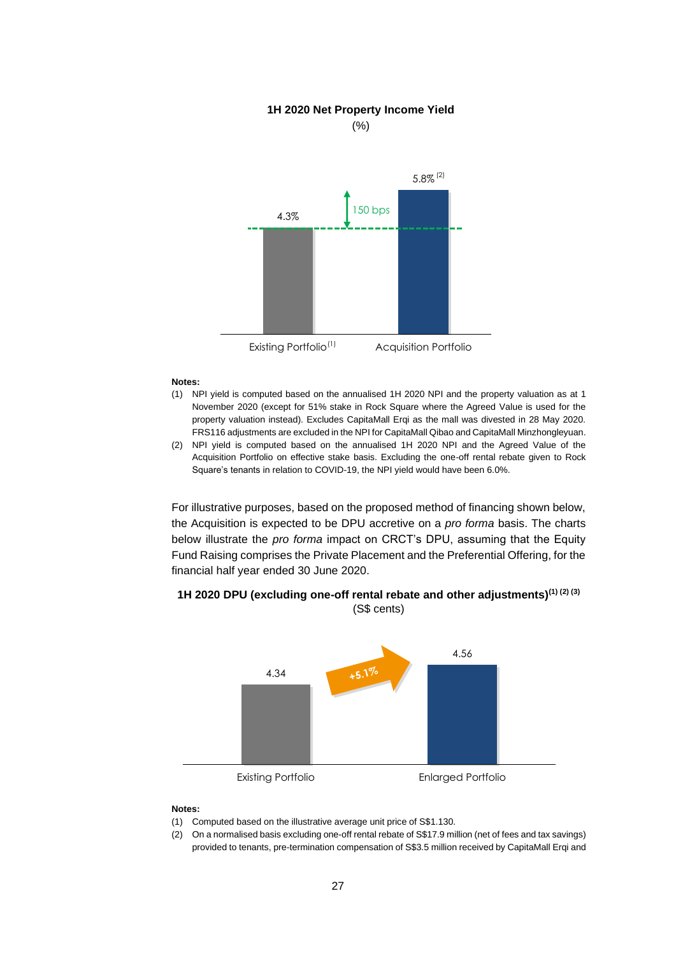#### **1H 2020 Net Property Income Yield**





#### **Notes:**

- (1) NPI yield is computed based on the annualised 1H 2020 NPI and the property valuation as at 1 November 2020 (except for 51% stake in Rock Square where the Agreed Value is used for the property valuation instead). Excludes CapitaMall Erqi as the mall was divested in 28 May 2020. FRS116 adjustments are excluded in the NPI for CapitaMall Qibao and CapitaMall Minzhongleyuan.
- (2) NPI yield is computed based on the annualised 1H 2020 NPI and the Agreed Value of the Acquisition Portfolio on effective stake basis. Excluding the one-off rental rebate given to Rock Square's tenants in relation to COVID-19, the NPI yield would have been 6.0%.

For illustrative purposes, based on the proposed method of financing shown below, the Acquisition is expected to be DPU accretive on a *pro forma* basis. The charts below illustrate the *pro forma* impact on CRCT's DPU, assuming that the Equity Fund Raising comprises the Private Placement and the Preferential Offering, for the financial half year ended 30 June 2020.



# **1H 2020 DPU (excluding one-off rental rebate and other adjustments)(1) (2) (3)** (S\$ cents)

#### **Notes:**

- (1) Computed based on the illustrative average unit price of S\$1.130.
- (2) On a normalised basis excluding one-off rental rebate of S\$17.9 million (net of fees and tax savings) provided to tenants, pre-termination compensation of S\$3.5 million received by CapitaMall Erqi and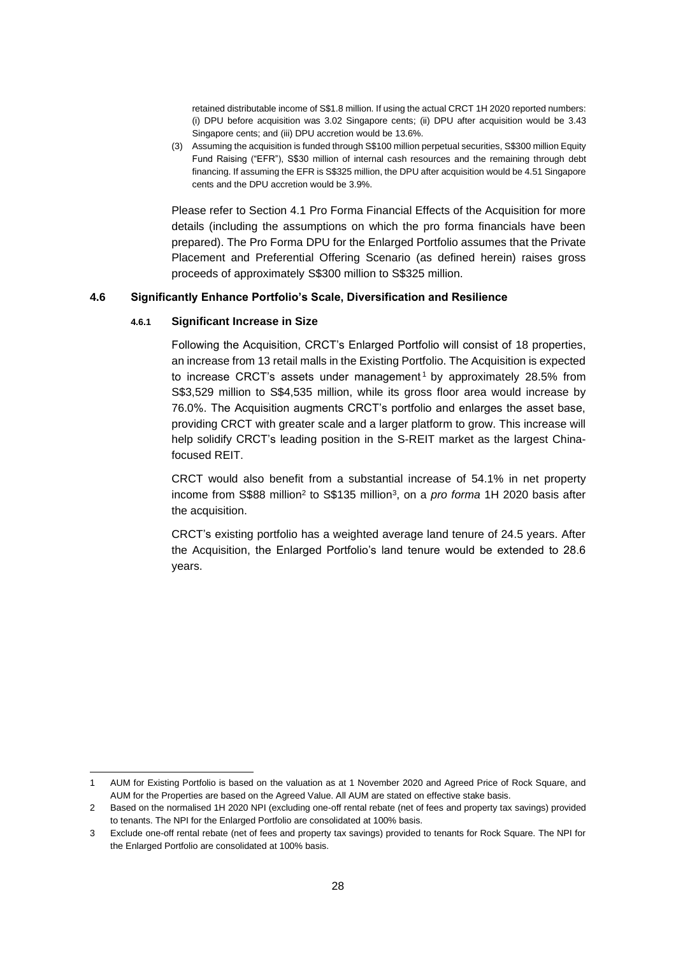retained distributable income of S\$1.8 million. If using the actual CRCT 1H 2020 reported numbers: (i) DPU before acquisition was 3.02 Singapore cents; (ii) DPU after acquisition would be 3.43 Singapore cents; and (iii) DPU accretion would be 13.6%.

(3) Assuming the acquisition is funded through S\$100 million perpetual securities, S\$300 million Equity Fund Raising ("EFR"), S\$30 million of internal cash resources and the remaining through debt financing. If assuming the EFR is S\$325 million, the DPU after acquisition would be 4.51 Singapore cents and the DPU accretion would be 3.9%.

Please refer to Section 4.1 Pro Forma Financial Effects of the Acquisition for more details (including the assumptions on which the pro forma financials have been prepared). The Pro Forma DPU for the Enlarged Portfolio assumes that the Private Placement and Preferential Offering Scenario (as defined herein) raises gross proceeds of approximately S\$300 million to S\$325 million.

# **4.6 Significantly Enhance Portfolio's Scale, Diversification and Resilience**

## **4.6.1 Significant Increase in Size**

Following the Acquisition, CRCT's Enlarged Portfolio will consist of 18 properties, an increase from 13 retail malls in the Existing Portfolio. The Acquisition is expected to increase CRCT's assets under management<sup>1</sup> by approximately 28.5% from S\$3,529 million to S\$4,535 million, while its gross floor area would increase by 76.0%. The Acquisition augments CRCT's portfolio and enlarges the asset base, providing CRCT with greater scale and a larger platform to grow. This increase will help solidify CRCT's leading position in the S-REIT market as the largest Chinafocused REIT.

CRCT would also benefit from a substantial increase of 54.1% in net property income from S\$88 million<sup>2</sup> to S\$135 million<sup>3</sup>, on a *pro forma* 1H 2020 basis after the acquisition.

CRCT's existing portfolio has a weighted average land tenure of 24.5 years. After the Acquisition, the Enlarged Portfolio's land tenure would be extended to 28.6 years.

<sup>1</sup> AUM for Existing Portfolio is based on the valuation as at 1 November 2020 and Agreed Price of Rock Square, and AUM for the Properties are based on the Agreed Value. All AUM are stated on effective stake basis.

<sup>2</sup> Based on the normalised 1H 2020 NPI (excluding one-off rental rebate (net of fees and property tax savings) provided to tenants. The NPI for the Enlarged Portfolio are consolidated at 100% basis.

<sup>3</sup> Exclude one-off rental rebate (net of fees and property tax savings) provided to tenants for Rock Square. The NPI for the Enlarged Portfolio are consolidated at 100% basis.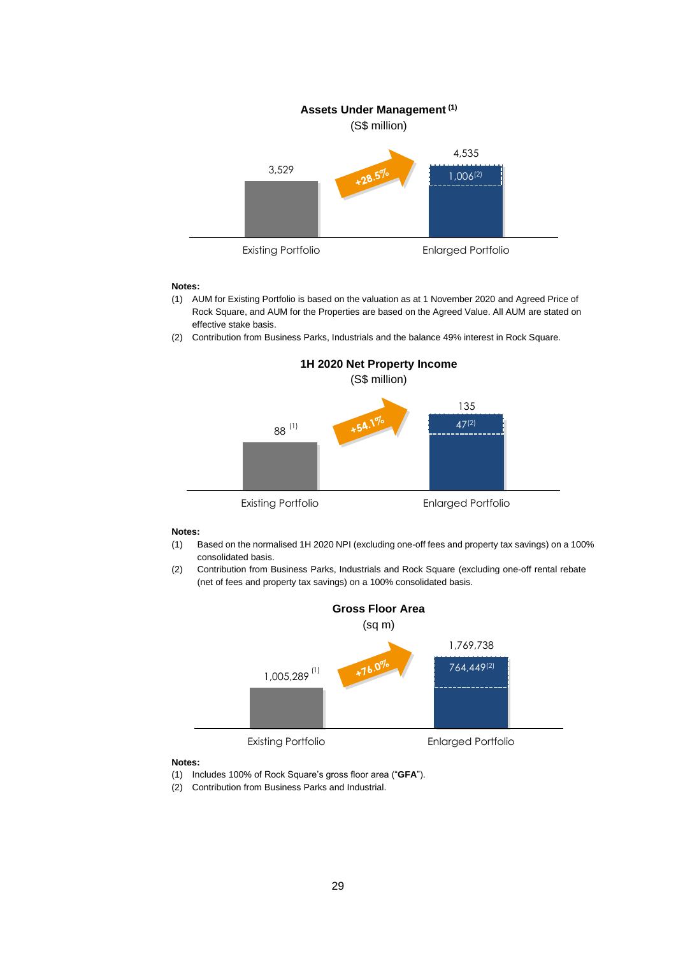

#### **Notes:**

- (1) AUM for Existing Portfolio is based on the valuation as at 1 November 2020 and Agreed Price of Rock Square, and AUM for the Properties are based on the Agreed Value. All AUM are stated on effective stake basis.
- (2) Contribution from Business Parks, Industrials and the balance 49% interest in Rock Square.



#### **Notes:**

- (1) Based on the normalised 1H 2020 NPI (excluding one-off fees and property tax savings) on a 100% consolidated basis.
- (2) Contribution from Business Parks, Industrials and Rock Square (excluding one-off rental rebate (net of fees and property tax savings) on a 100% consolidated basis.



#### **Notes:**

- (1) Includes 100% of Rock Square's gross floor area ("**GFA**").
- (2) Contribution from Business Parks and Industrial.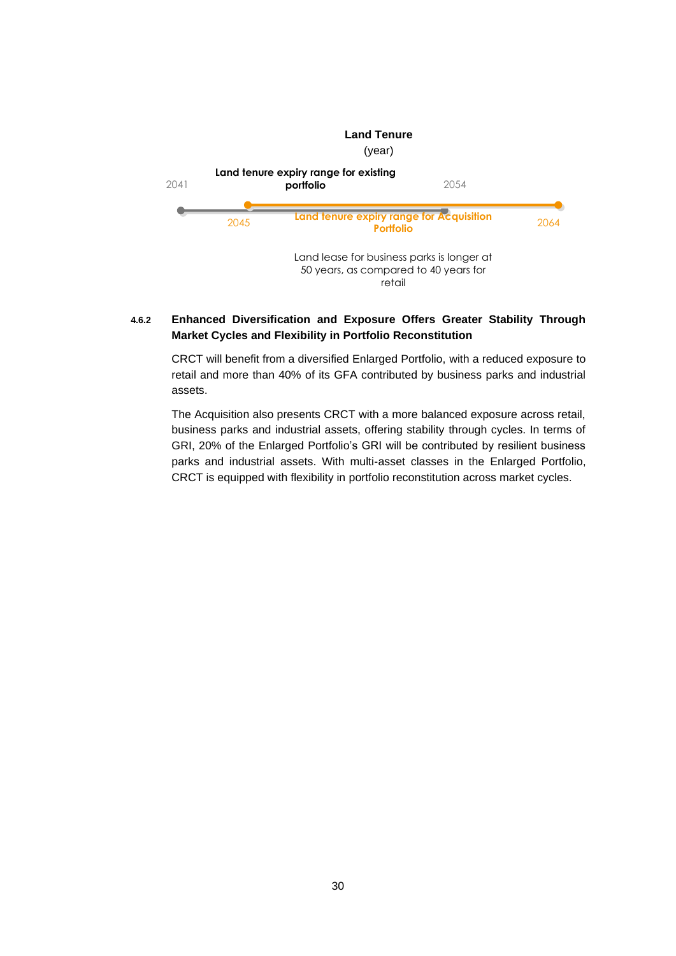

# **4.6.2 Enhanced Diversification and Exposure Offers Greater Stability Through Market Cycles and Flexibility in Portfolio Reconstitution**

CRCT will benefit from a diversified Enlarged Portfolio, with a reduced exposure to retail and more than 40% of its GFA contributed by business parks and industrial assets.

The Acquisition also presents CRCT with a more balanced exposure across retail, business parks and industrial assets, offering stability through cycles. In terms of GRI, 20% of the Enlarged Portfolio's GRI will be contributed by resilient business parks and industrial assets. With multi-asset classes in the Enlarged Portfolio, CRCT is equipped with flexibility in portfolio reconstitution across market cycles.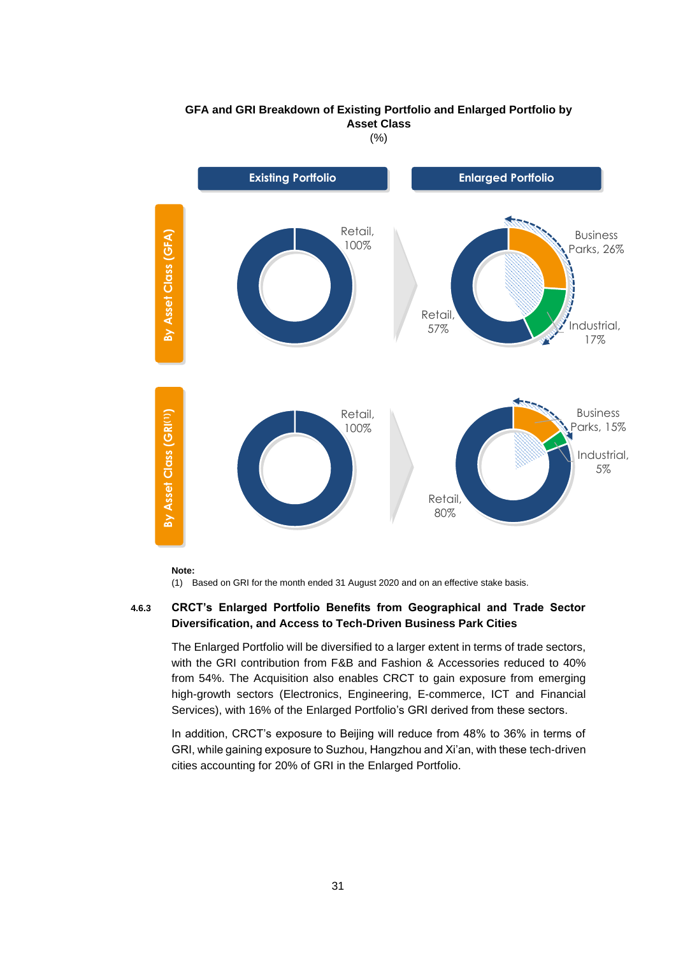

**GFA and GRI Breakdown of Existing Portfolio and Enlarged Portfolio by Asset Class** 

(%)

**Note:**

(1) Based on GRI for the month ended 31 August 2020 and on an effective stake basis.

# **4.6.3 CRCT's Enlarged Portfolio Benefits from Geographical and Trade Sector Diversification, and Access to Tech-Driven Business Park Cities**

The Enlarged Portfolio will be diversified to a larger extent in terms of trade sectors, with the GRI contribution from F&B and Fashion & Accessories reduced to 40% from 54%. The Acquisition also enables CRCT to gain exposure from emerging high-growth sectors (Electronics, Engineering, E-commerce, ICT and Financial Services), with 16% of the Enlarged Portfolio's GRI derived from these sectors.

In addition, CRCT's exposure to Beijing will reduce from 48% to 36% in terms of GRI, while gaining exposure to Suzhou, Hangzhou and Xi'an, with these tech-driven cities accounting for 20% of GRI in the Enlarged Portfolio.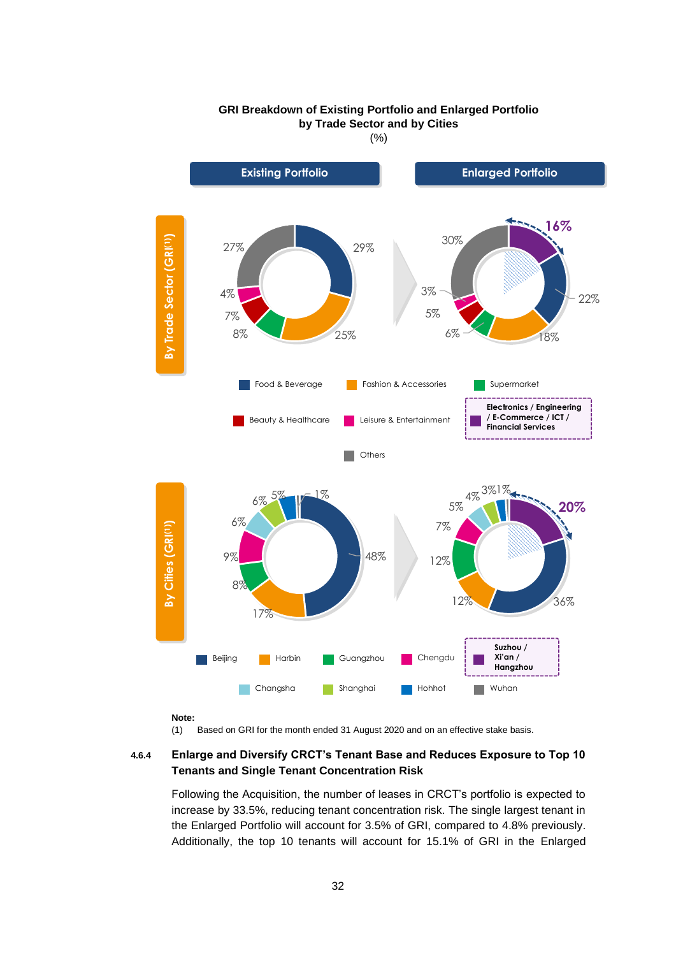

# **GRI Breakdown of Existing Portfolio and Enlarged Portfolio by Trade Sector and by Cities**

(%)

**Note:**

(1) Based on GRI for the month ended 31 August 2020 and on an effective stake basis.

# **4.6.4 Enlarge and Diversify CRCT's Tenant Base and Reduces Exposure to Top 10 Tenants and Single Tenant Concentration Risk**

Following the Acquisition, the number of leases in CRCT's portfolio is expected to increase by 33.5%, reducing tenant concentration risk. The single largest tenant in the Enlarged Portfolio will account for 3.5% of GRI, compared to 4.8% previously. Additionally, the top 10 tenants will account for 15.1% of GRI in the Enlarged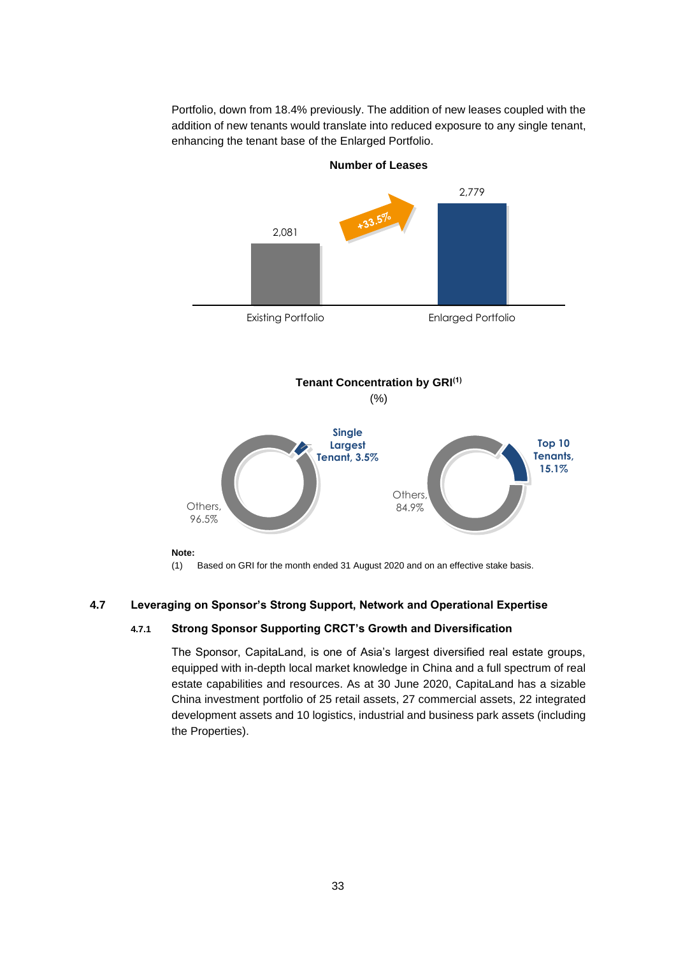Portfolio, down from 18.4% previously. The addition of new leases coupled with the addition of new tenants would translate into reduced exposure to any single tenant, enhancing the tenant base of the Enlarged Portfolio.



**Number of Leases**

(1) Based on GRI for the month ended 31 August 2020 and on an effective stake basis.

## **4.7 Leveraging on Sponsor's Strong Support, Network and Operational Expertise**

## **4.7.1 Strong Sponsor Supporting CRCT's Growth and Diversification**

The Sponsor, CapitaLand, is one of Asia's largest diversified real estate groups, equipped with in-depth local market knowledge in China and a full spectrum of real estate capabilities and resources. As at 30 June 2020, CapitaLand has a sizable China investment portfolio of 25 retail assets, 27 commercial assets, 22 integrated development assets and 10 logistics, industrial and business park assets (including the Properties).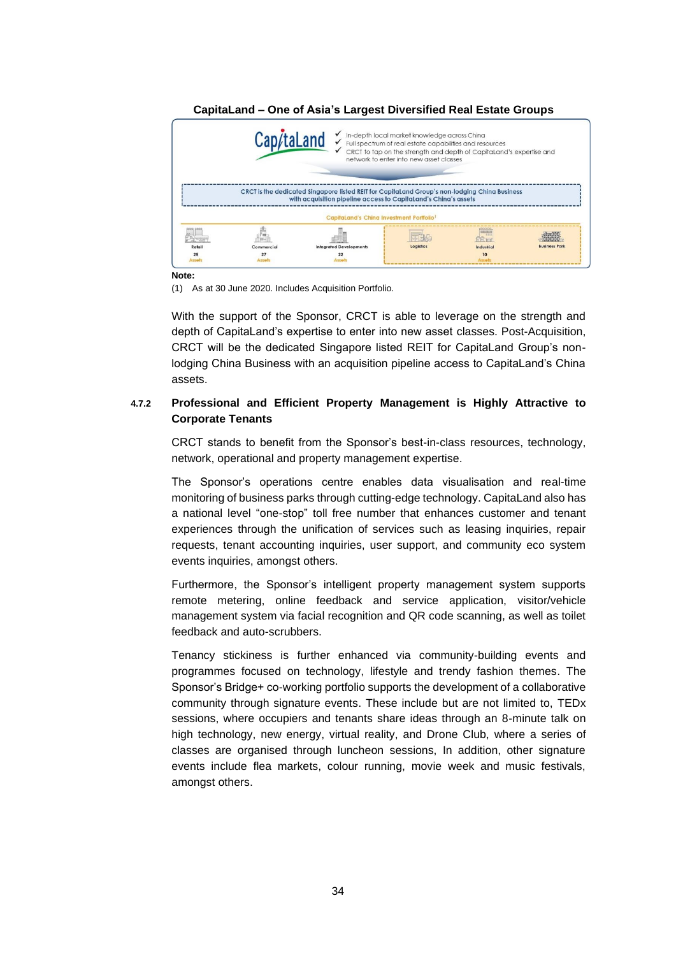| Cap/taLand<br>√ In-depth local market knowledge across China<br>√ Full spectrum of real estate capabilities and resources<br>CRCT to tap on the strength and depth of CapitaLand's expertise and<br>network to enter into new asset classes |            |                                                                                                                                                                  |           |                                         |                                       |  |
|---------------------------------------------------------------------------------------------------------------------------------------------------------------------------------------------------------------------------------------------|------------|------------------------------------------------------------------------------------------------------------------------------------------------------------------|-----------|-----------------------------------------|---------------------------------------|--|
|                                                                                                                                                                                                                                             |            | CRCT is the dedicated Singapore listed REIT for CapitaLand Group's non-lodging China Business<br>with acquisition pipeline access to CapitaLand's China's assets |           |                                         |                                       |  |
|                                                                                                                                                                                                                                             |            | CapitaLand's China Investment Portfolio <sup>1</sup>                                                                                                             |           |                                         |                                       |  |
| Retail                                                                                                                                                                                                                                      | Commercial | <b>Integrated Developments</b>                                                                                                                                   | Logistics | ,,,,,,,,<br><b>PRIMER</b><br>Industrial | <b>HATARA</b><br><b>Business Park</b> |  |
| 25<br>Assett                                                                                                                                                                                                                                | Asset      |                                                                                                                                                                  |           | 10                                      |                                       |  |

# **CapitaLand – One of Asia's Largest Diversified Real Estate Groups**

**Note:**

(1) As at 30 June 2020. Includes Acquisition Portfolio.

With the support of the Sponsor, CRCT is able to leverage on the strength and depth of CapitaLand's expertise to enter into new asset classes. Post-Acquisition, CRCT will be the dedicated Singapore listed REIT for CapitaLand Group's nonlodging China Business with an acquisition pipeline access to CapitaLand's China assets.

# **4.7.2 Professional and Efficient Property Management is Highly Attractive to Corporate Tenants**

CRCT stands to benefit from the Sponsor's best-in-class resources, technology, network, operational and property management expertise.

The Sponsor's operations centre enables data visualisation and real-time monitoring of business parks through cutting-edge technology. CapitaLand also has a national level "one-stop" toll free number that enhances customer and tenant experiences through the unification of services such as leasing inquiries, repair requests, tenant accounting inquiries, user support, and community eco system events inquiries, amongst others.

Furthermore, the Sponsor's intelligent property management system supports remote metering, online feedback and service application, visitor/vehicle management system via facial recognition and QR code scanning, as well as toilet feedback and auto-scrubbers.

Tenancy stickiness is further enhanced via community-building events and programmes focused on technology, lifestyle and trendy fashion themes. The Sponsor's Bridge+ co-working portfolio supports the development of a collaborative community through signature events. These include but are not limited to, TEDx sessions, where occupiers and tenants share ideas through an 8-minute talk on high technology, new energy, virtual reality, and Drone Club, where a series of classes are organised through luncheon sessions, In addition, other signature events include flea markets, colour running, movie week and music festivals, amongst others.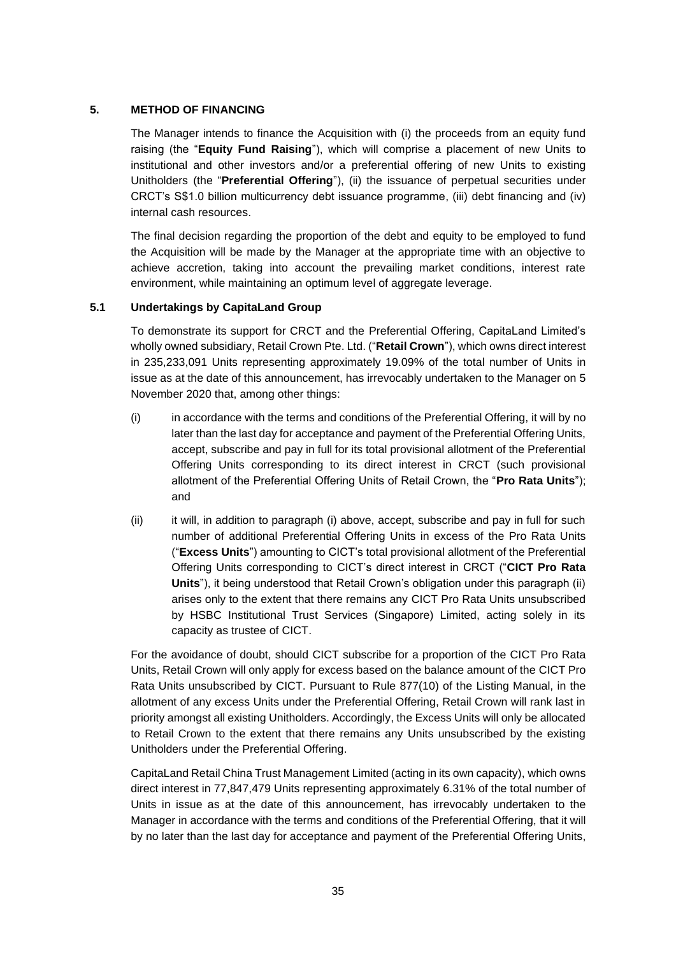# **5. METHOD OF FINANCING**

The Manager intends to finance the Acquisition with (i) the proceeds from an equity fund raising (the "**Equity Fund Raising**"), which will comprise a placement of new Units to institutional and other investors and/or a preferential offering of new Units to existing Unitholders (the "**Preferential Offering**"), (ii) the issuance of perpetual securities under CRCT's S\$1.0 billion multicurrency debt issuance programme, (iii) debt financing and (iv) internal cash resources.

The final decision regarding the proportion of the debt and equity to be employed to fund the Acquisition will be made by the Manager at the appropriate time with an objective to achieve accretion, taking into account the prevailing market conditions, interest rate environment, while maintaining an optimum level of aggregate leverage.

# **5.1 Undertakings by CapitaLand Group**

To demonstrate its support for CRCT and the Preferential Offering, CapitaLand Limited's wholly owned subsidiary, Retail Crown Pte. Ltd. ("**Retail Crown**"), which owns direct interest in 235,233,091 Units representing approximately 19.09% of the total number of Units in issue as at the date of this announcement, has irrevocably undertaken to the Manager on 5 November 2020 that, among other things:

- (i) in accordance with the terms and conditions of the Preferential Offering, it will by no later than the last day for acceptance and payment of the Preferential Offering Units, accept, subscribe and pay in full for its total provisional allotment of the Preferential Offering Units corresponding to its direct interest in CRCT (such provisional allotment of the Preferential Offering Units of Retail Crown, the "**Pro Rata Units**"); and
- (ii) it will, in addition to paragraph (i) above, accept, subscribe and pay in full for such number of additional Preferential Offering Units in excess of the Pro Rata Units ("**Excess Units**") amounting to CICT's total provisional allotment of the Preferential Offering Units corresponding to CICT's direct interest in CRCT ("**CICT Pro Rata Units**"), it being understood that Retail Crown's obligation under this paragraph (ii) arises only to the extent that there remains any CICT Pro Rata Units unsubscribed by HSBC Institutional Trust Services (Singapore) Limited, acting solely in its capacity as trustee of CICT.

For the avoidance of doubt, should CICT subscribe for a proportion of the CICT Pro Rata Units, Retail Crown will only apply for excess based on the balance amount of the CICT Pro Rata Units unsubscribed by CICT. Pursuant to Rule 877(10) of the Listing Manual, in the allotment of any excess Units under the Preferential Offering, Retail Crown will rank last in priority amongst all existing Unitholders. Accordingly, the Excess Units will only be allocated to Retail Crown to the extent that there remains any Units unsubscribed by the existing Unitholders under the Preferential Offering.

CapitaLand Retail China Trust Management Limited (acting in its own capacity), which owns direct interest in 77,847,479 Units representing approximately 6.31% of the total number of Units in issue as at the date of this announcement, has irrevocably undertaken to the Manager in accordance with the terms and conditions of the Preferential Offering, that it will by no later than the last day for acceptance and payment of the Preferential Offering Units,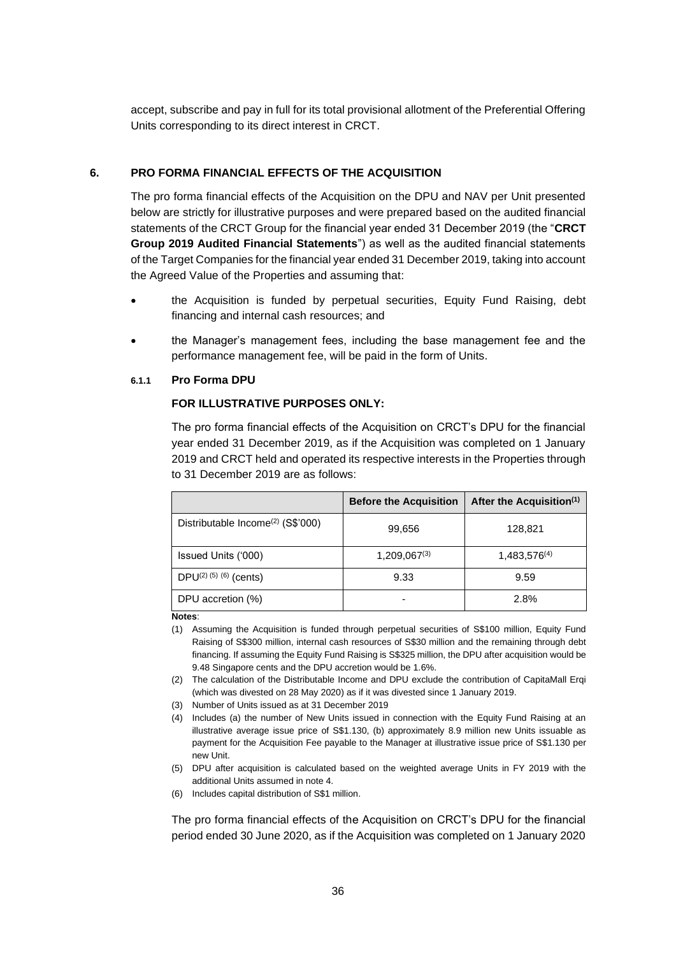accept, subscribe and pay in full for its total provisional allotment of the Preferential Offering Units corresponding to its direct interest in CRCT.

## **6. PRO FORMA FINANCIAL EFFECTS OF THE ACQUISITION**

The pro forma financial effects of the Acquisition on the DPU and NAV per Unit presented below are strictly for illustrative purposes and were prepared based on the audited financial statements of the CRCT Group for the financial year ended 31 December 2019 (the "**CRCT Group 2019 Audited Financial Statements**") as well as the audited financial statements of the Target Companies for the financial year ended 31 December 2019, taking into account the Agreed Value of the Properties and assuming that:

- the Acquisition is funded by perpetual securities, Equity Fund Raising, debt financing and internal cash resources; and
- the Manager's management fees, including the base management fee and the performance management fee, will be paid in the form of Units.

#### **6.1.1 Pro Forma DPU**

#### **FOR ILLUSTRATIVE PURPOSES ONLY:**

The pro forma financial effects of the Acquisition on CRCT's DPU for the financial year ended 31 December 2019, as if the Acquisition was completed on 1 January 2019 and CRCT held and operated its respective interests in the Properties through to 31 December 2019 are as follows:

|                                               | <b>Before the Acquisition</b> | After the Acquisition <sup>(1)</sup> |
|-----------------------------------------------|-------------------------------|--------------------------------------|
| Distributable Income <sup>(2)</sup> (S\$'000) | 99,656                        | 128,821                              |
| Issued Units ('000)                           | $1,209,067^{(3)}$             | $1,483,576^{(4)}$                    |
| DPU $(2)$ $(5)$ $(6)$ (cents)                 | 9.33                          | 9.59                                 |
| DPU accretion (%)                             |                               | 2.8%                                 |

**Notes**:

- (1) Assuming the Acquisition is funded through perpetual securities of S\$100 million, Equity Fund Raising of S\$300 million, internal cash resources of S\$30 million and the remaining through debt financing. If assuming the Equity Fund Raising is S\$325 million, the DPU after acquisition would be 9.48 Singapore cents and the DPU accretion would be 1.6%.
- (2) The calculation of the Distributable Income and DPU exclude the contribution of CapitaMall Erqi (which was divested on 28 May 2020) as if it was divested since 1 January 2019.
- (3) Number of Units issued as at 31 December 2019
- (4) Includes (a) the number of New Units issued in connection with the Equity Fund Raising at an illustrative average issue price of S\$1.130, (b) approximately 8.9 million new Units issuable as payment for the Acquisition Fee payable to the Manager at illustrative issue price of S\$1.130 per new Unit.
- (5) DPU after acquisition is calculated based on the weighted average Units in FY 2019 with the additional Units assumed in note 4.
- (6) Includes capital distribution of S\$1 million.

The pro forma financial effects of the Acquisition on CRCT's DPU for the financial period ended 30 June 2020, as if the Acquisition was completed on 1 January 2020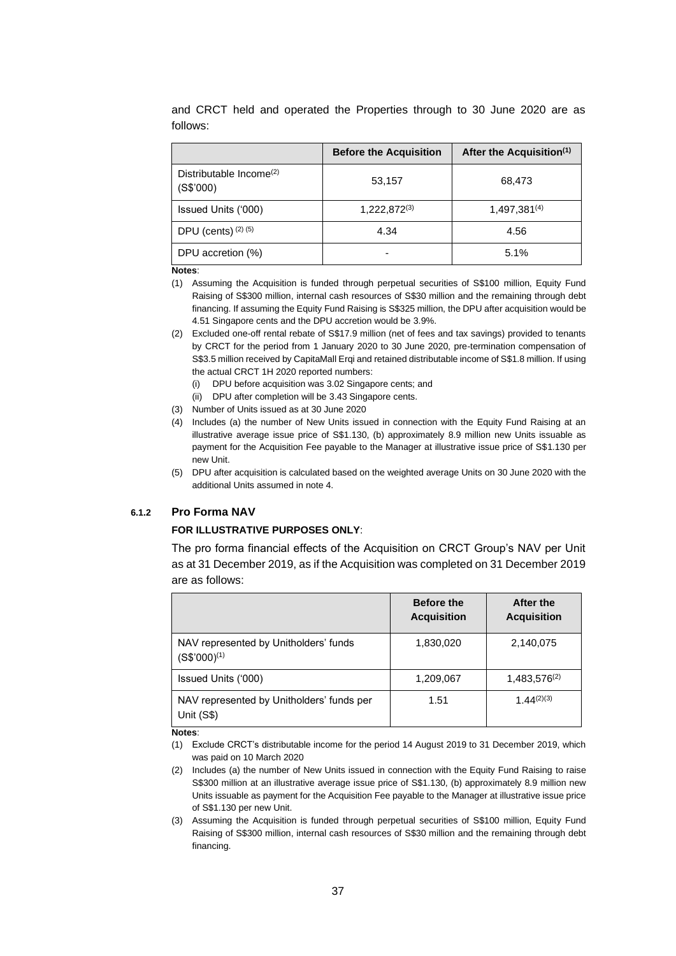|                                                  | <b>Before the Acquisition</b> | After the Acquisition <sup>(1)</sup> |
|--------------------------------------------------|-------------------------------|--------------------------------------|
| Distributable Income <sup>(2)</sup><br>(S\$'000) | 53,157                        | 68,473                               |
| Issued Units ('000)                              | $1,222,872^{(3)}$             | 1,497,381(4)                         |
| DPU (cents) $(2)$ $(5)$                          | 4.34                          | 4.56                                 |
| DPU accretion (%)                                |                               | 5.1%                                 |

and CRCT held and operated the Properties through to 30 June 2020 are as follows:

#### **Notes**:

- (1) Assuming the Acquisition is funded through perpetual securities of S\$100 million, Equity Fund Raising of S\$300 million, internal cash resources of S\$30 million and the remaining through debt financing. If assuming the Equity Fund Raising is S\$325 million, the DPU after acquisition would be 4.51 Singapore cents and the DPU accretion would be 3.9%.
- (2) Excluded one-off rental rebate of S\$17.9 million (net of fees and tax savings) provided to tenants by CRCT for the period from 1 January 2020 to 30 June 2020, pre-termination compensation of S\$3.5 million received by CapitaMall Erqi and retained distributable income of S\$1.8 million. If using the actual CRCT 1H 2020 reported numbers:
	- (i) DPU before acquisition was 3.02 Singapore cents; and
	- (ii) DPU after completion will be 3.43 Singapore cents.
- (3) Number of Units issued as at 30 June 2020
- (4) Includes (a) the number of New Units issued in connection with the Equity Fund Raising at an illustrative average issue price of S\$1.130, (b) approximately 8.9 million new Units issuable as payment for the Acquisition Fee payable to the Manager at illustrative issue price of S\$1.130 per new Unit.
- (5) DPU after acquisition is calculated based on the weighted average Units on 30 June 2020 with the additional Units assumed in note 4.

#### **6.1.2 Pro Forma NAV**

#### **FOR ILLUSTRATIVE PURPOSES ONLY**:

The pro forma financial effects of the Acquisition on CRCT Group's NAV per Unit as at 31 December 2019, as if the Acquisition was completed on 31 December 2019 are as follows:

|                                                           | <b>Before the</b><br><b>Acquisition</b> | After the<br><b>Acquisition</b> |
|-----------------------------------------------------------|-----------------------------------------|---------------------------------|
| NAV represented by Unitholders' funds<br>$(S$'000)^{(1)}$ | 1,830,020                               | 2,140,075                       |
| Issued Units ('000)                                       | 1,209,067                               | $1,483,576^{(2)}$               |
| NAV represented by Unitholders' funds per<br>Unit (S\$)   | 1.51                                    | $1.44^{(2)(3)}$                 |

**Notes**:

(1) Exclude CRCT's distributable income for the period 14 August 2019 to 31 December 2019, which was paid on 10 March 2020

- (2) Includes (a) the number of New Units issued in connection with the Equity Fund Raising to raise S\$300 million at an illustrative average issue price of S\$1.130, (b) approximately 8.9 million new Units issuable as payment for the Acquisition Fee payable to the Manager at illustrative issue price of S\$1.130 per new Unit.
- (3) Assuming the Acquisition is funded through perpetual securities of S\$100 million, Equity Fund Raising of S\$300 million, internal cash resources of S\$30 million and the remaining through debt financing.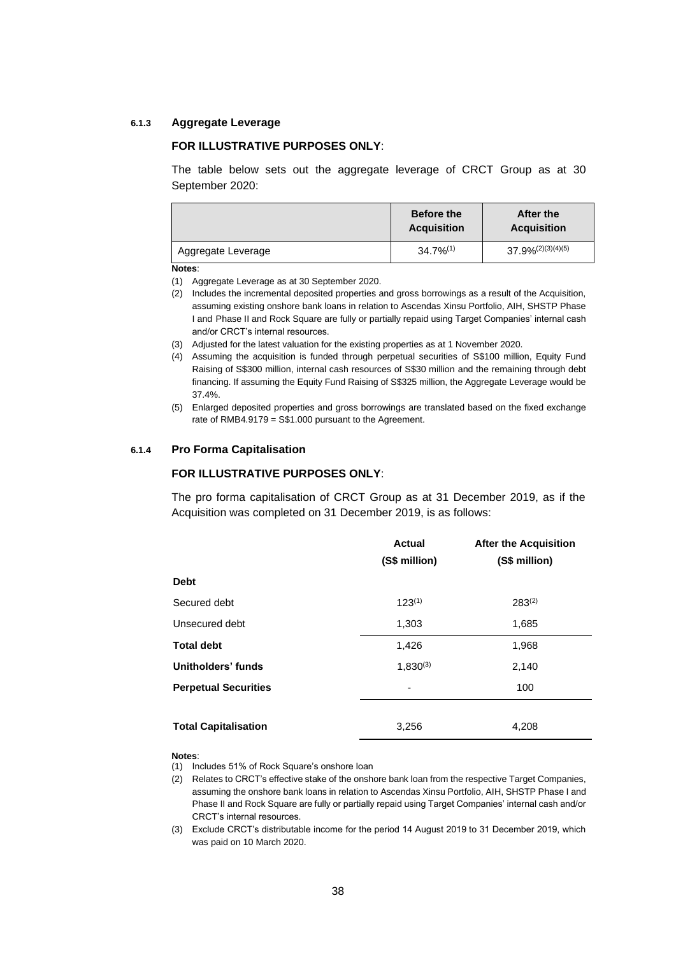#### **6.1.3 Aggregate Leverage**

#### **FOR ILLUSTRATIVE PURPOSES ONLY**:

The table below sets out the aggregate leverage of CRCT Group as at 30 September 2020:

|                    | <b>Before the</b><br><b>Acquisition</b> | After the<br><b>Acquisition</b> |
|--------------------|-----------------------------------------|---------------------------------|
| Aggregate Leverage | $34.7\%^{(1)}$                          | $37.9\%^{(2)(3)(4)(5)}$         |

#### **Notes**:

(1) Aggregate Leverage as at 30 September 2020.

- (2) Includes the incremental deposited properties and gross borrowings as a result of the Acquisition, assuming existing onshore bank loans in relation to Ascendas Xinsu Portfolio, AIH, SHSTP Phase I and Phase II and Rock Square are fully or partially repaid using Target Companies' internal cash and/or CRCT's internal resources.
- (3) Adjusted for the latest valuation for the existing properties as at 1 November 2020.
- (4) Assuming the acquisition is funded through perpetual securities of S\$100 million, Equity Fund Raising of S\$300 million, internal cash resources of S\$30 million and the remaining through debt financing. If assuming the Equity Fund Raising of S\$325 million, the Aggregate Leverage would be 37.4%.
- (5) Enlarged deposited properties and gross borrowings are translated based on the fixed exchange rate of RMB4.9179 = S\$1.000 pursuant to the Agreement.

#### **6.1.4 Pro Forma Capitalisation**

#### **FOR ILLUSTRATIVE PURPOSES ONLY**:

The pro forma capitalisation of CRCT Group as at 31 December 2019, as if the Acquisition was completed on 31 December 2019, is as follows:

|                             | <b>Actual</b> | <b>After the Acquisition</b> |
|-----------------------------|---------------|------------------------------|
|                             | (S\$ million) | (S\$ million)                |
| <b>Debt</b>                 |               |                              |
| Secured debt                | $123^{(1)}$   | $283^{(2)}$                  |
| Unsecured debt              | 1,303         | 1,685                        |
| <b>Total debt</b>           | 1,426         | 1,968                        |
| Unitholders' funds          | $1,830^{(3)}$ | 2,140                        |
| <b>Perpetual Securities</b> |               | 100                          |
|                             |               |                              |
| <b>Total Capitalisation</b> | 3,256         | 4,208                        |

#### **Notes**:

(1) Includes 51% of Rock Square's onshore loan

- (2) Relates to CRCT's effective stake of the onshore bank loan from the respective Target Companies, assuming the onshore bank loans in relation to Ascendas Xinsu Portfolio, AIH, SHSTP Phase I and Phase II and Rock Square are fully or partially repaid using Target Companies' internal cash and/or CRCT's internal resources.
- (3) Exclude CRCT's distributable income for the period 14 August 2019 to 31 December 2019, which was paid on 10 March 2020.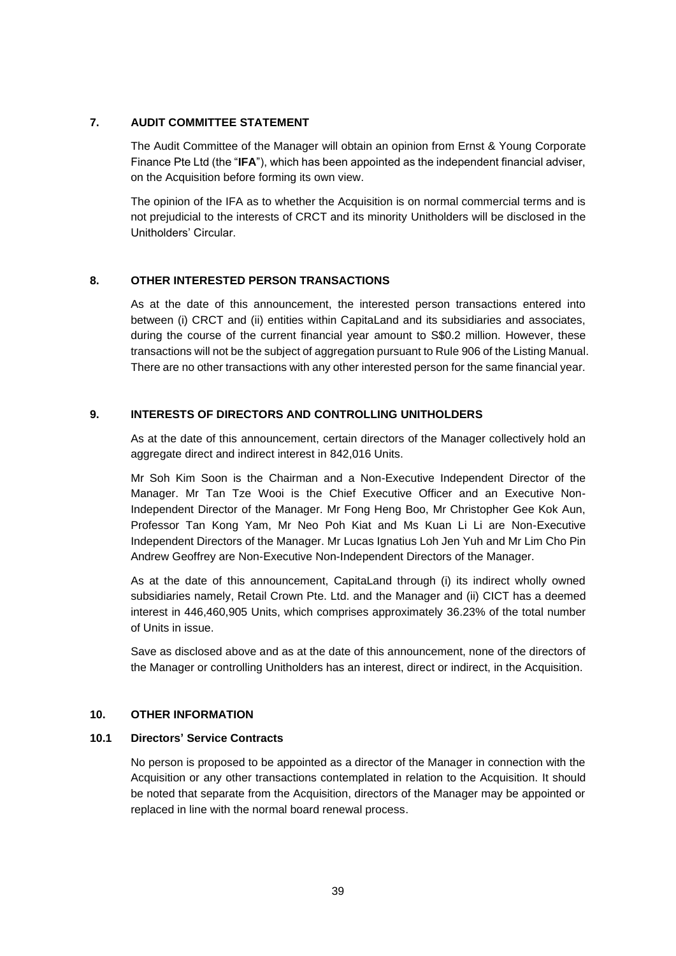## **7. AUDIT COMMITTEE STATEMENT**

The Audit Committee of the Manager will obtain an opinion from Ernst & Young Corporate Finance Pte Ltd (the "**IFA**"), which has been appointed as the independent financial adviser, on the Acquisition before forming its own view.

The opinion of the IFA as to whether the Acquisition is on normal commercial terms and is not prejudicial to the interests of CRCT and its minority Unitholders will be disclosed in the Unitholders' Circular.

## **8. OTHER INTERESTED PERSON TRANSACTIONS**

As at the date of this announcement, the interested person transactions entered into between (i) CRCT and (ii) entities within CapitaLand and its subsidiaries and associates, during the course of the current financial year amount to S\$0.2 million. However, these transactions will not be the subject of aggregation pursuant to Rule 906 of the Listing Manual. There are no other transactions with any other interested person for the same financial year.

# **9. INTERESTS OF DIRECTORS AND CONTROLLING UNITHOLDERS**

As at the date of this announcement, certain directors of the Manager collectively hold an aggregate direct and indirect interest in 842,016 Units.

Mr Soh Kim Soon is the Chairman and a Non-Executive Independent Director of the Manager. Mr Tan Tze Wooi is the Chief Executive Officer and an Executive Non-Independent Director of the Manager. Mr Fong Heng Boo, Mr Christopher Gee Kok Aun, Professor Tan Kong Yam, Mr Neo Poh Kiat and Ms Kuan Li Li are Non-Executive Independent Directors of the Manager. Mr Lucas Ignatius Loh Jen Yuh and Mr Lim Cho Pin Andrew Geoffrey are Non-Executive Non-Independent Directors of the Manager.

As at the date of this announcement, CapitaLand through (i) its indirect wholly owned subsidiaries namely, Retail Crown Pte. Ltd. and the Manager and (ii) CICT has a deemed interest in 446,460,905 Units, which comprises approximately 36.23% of the total number of Units in issue.

Save as disclosed above and as at the date of this announcement, none of the directors of the Manager or controlling Unitholders has an interest, direct or indirect, in the Acquisition.

## **10. OTHER INFORMATION**

## **10.1 Directors' Service Contracts**

No person is proposed to be appointed as a director of the Manager in connection with the Acquisition or any other transactions contemplated in relation to the Acquisition. It should be noted that separate from the Acquisition, directors of the Manager may be appointed or replaced in line with the normal board renewal process.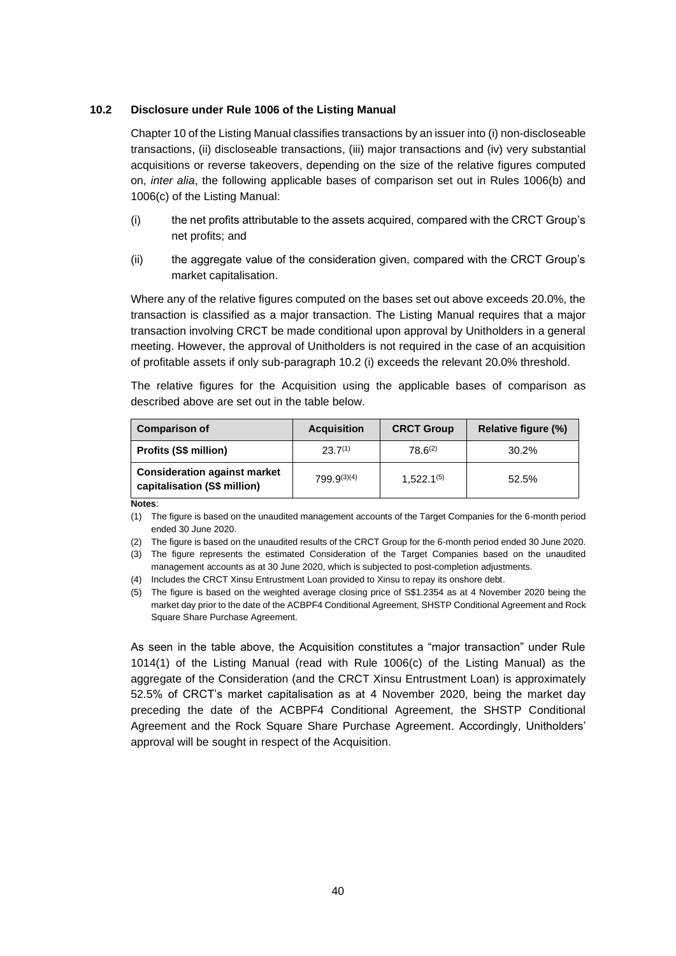## **10.2 Disclosure under Rule 1006 of the Listing Manual**

Chapter 10 of the Listing Manual classifies transactions by an issuer into (i) non-discloseable transactions, (ii) discloseable transactions, (iii) major transactions and (iv) very substantial acquisitions or reverse takeovers, depending on the size of the relative figures computed on, *inter alia*, the following applicable bases of comparison set out in Rules 1006(b) and 1006(c) of the Listing Manual:

- (i) the net profits attributable to the assets acquired, compared with the CRCT Group's net profits; and
- (ii) the aggregate value of the consideration given, compared with the CRCT Group's market capitalisation.

Where any of the relative figures computed on the bases set out above exceeds 20.0%, the transaction is classified as a major transaction. The Listing Manual requires that a major transaction involving CRCT be made conditional upon approval by Unitholders in a general meeting. However, the approval of Unitholders is not required in the case of an acquisition of profitable assets if only sub-paragraph 10.2 (i) exceeds the relevant 20.0% threshold.

The relative figures for the Acquisition using the applicable bases of comparison as described above are set out in the table below.

| <b>Comparison of</b>                                                | <b>Acquisition</b> | <b>CRCT Group</b> | Relative figure (%) |  |
|---------------------------------------------------------------------|--------------------|-------------------|---------------------|--|
| Profits (S\$ million)                                               | $23.7^{(1)}$       | $78.6^{(2)}$      | 30.2%               |  |
| <b>Consideration against market</b><br>capitalisation (S\$ million) | $799.9^{(3)(4)}$   | $1.522.1^{(5)}$   | 52.5%               |  |

**Notes**:

(1) The figure is based on the unaudited management accounts of the Target Companies for the 6-month period ended 30 June 2020.

(2) The figure is based on the unaudited results of the CRCT Group for the 6-month period ended 30 June 2020.

(3) The figure represents the estimated Consideration of the Target Companies based on the unaudited management accounts as at 30 June 2020, which is subjected to post-completion adjustments.

(4) Includes the CRCT Xinsu Entrustment Loan provided to Xinsu to repay its onshore debt.

(5) The figure is based on the weighted average closing price of S\$1.2354 as at 4 November 2020 being the market day prior to the date of the ACBPF4 Conditional Agreement, SHSTP Conditional Agreement and Rock Square Share Purchase Agreement.

As seen in the table above, the Acquisition constitutes a "major transaction" under Rule 1014(1) of the Listing Manual (read with Rule 1006(c) of the Listing Manual) as the aggregate of the Consideration (and the CRCT Xinsu Entrustment Loan) is approximately 52.5% of CRCT's market capitalisation as at 4 November 2020, being the market day preceding the date of the ACBPF4 Conditional Agreement, the SHSTP Conditional Agreement and the Rock Square Share Purchase Agreement. Accordingly, Unitholders' approval will be sought in respect of the Acquisition.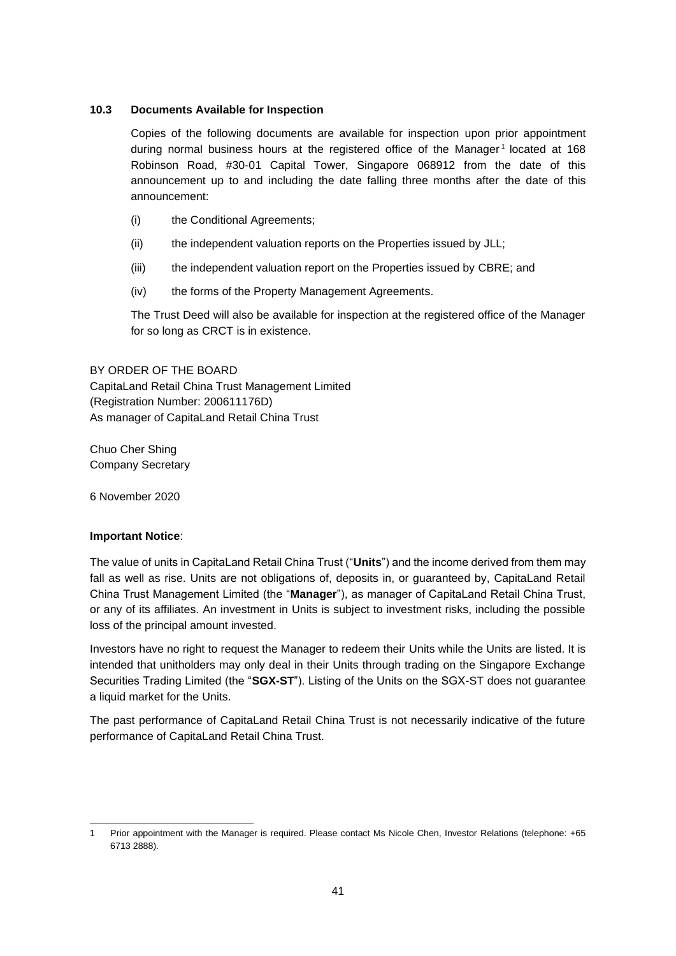# **10.3 Documents Available for Inspection**

Copies of the following documents are available for inspection upon prior appointment during normal business hours at the registered office of the Manager<sup>1</sup> located at 168 Robinson Road, #30-01 Capital Tower, Singapore 068912 from the date of this announcement up to and including the date falling three months after the date of this announcement:

- (i) the Conditional Agreements;
- (ii) the independent valuation reports on the Properties issued by JLL;
- (iii) the independent valuation report on the Properties issued by CBRE; and
- (iv) the forms of the Property Management Agreements.

The Trust Deed will also be available for inspection at the registered office of the Manager for so long as CRCT is in existence.

# BY ORDER OF THE BOARD

CapitaLand Retail China Trust Management Limited (Registration Number: 200611176D) As manager of CapitaLand Retail China Trust

Chuo Cher Shing Company Secretary

6 November 2020

## **Important Notice**:

The value of units in CapitaLand Retail China Trust ("**Units**") and the income derived from them may fall as well as rise. Units are not obligations of, deposits in, or guaranteed by, CapitaLand Retail China Trust Management Limited (the "**Manager**"), as manager of CapitaLand Retail China Trust, or any of its affiliates. An investment in Units is subject to investment risks, including the possible loss of the principal amount invested.

Investors have no right to request the Manager to redeem their Units while the Units are listed. It is intended that unitholders may only deal in their Units through trading on the Singapore Exchange Securities Trading Limited (the "**SGX-ST**"). Listing of the Units on the SGX-ST does not guarantee a liquid market for the Units.

The past performance of CapitaLand Retail China Trust is not necessarily indicative of the future performance of CapitaLand Retail China Trust.

<sup>1</sup> Prior appointment with the Manager is required. Please contact Ms Nicole Chen, Investor Relations (telephone: +65 6713 2888).